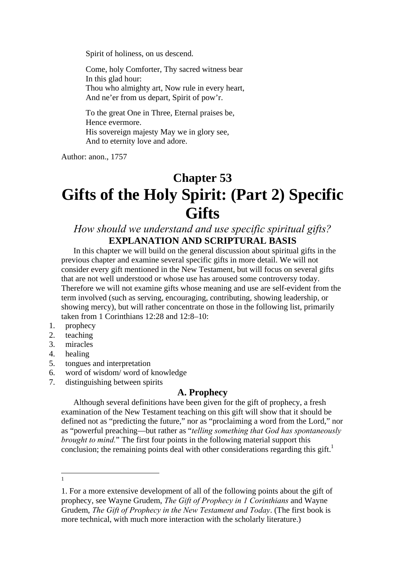# **Chapter 53 Gifts of the Holy Spirit: (Part 2) Specific Gifts**

*How should we understand and use specific spiritual gifts?* **EXPLANATION AND SCRIPTURAL BASIS**

In this chapter we will build on the general discussion about spiritual gifts in the previous chapter and examine several specific gifts in more detail. We will not consider every gift mentioned in the New Testament, but will focus on several gifts that are not well understood or whose use has aroused some controversy today. Therefore we will not examine gifts whose meaning and use are self-evident from the term involved (such as serving, encouraging, contributing, showing leadership, or showing mercy), but will rather concentrate on those in the following list, primarily taken from 1 Corinthians 12:28 and 12:8–10:

- 1. prophecy
- 2. teaching
- 3. miracles
- 4. healing
- 5. tongues and interpretation
- 6. word of wisdom/ word of knowledge
- 7. distinguishing between spirits

# **A. Prophecy**

Although several definitions have been given for the gift of prophecy, a fresh examination of the New Testament teaching on this gift will show that it should be defined not as "predicting the future," nor as "proclaiming a word from the Lord," nor as "powerful preaching—but rather as "*telling something that God has spontaneously brought to mind.*" The first four points in the following material support this conclusion; the remaining points deal with other considerations regarding this gift.<sup>1</sup>

 $\frac{1}{1}$ 

<sup>1.</sup> For a more extensive development of all of the following points about the gift of prophecy, see Wayne Grudem, *The Gift of Prophecy in 1 Corinthians* and Wayne Grudem, *The Gift of Prophecy in the New Testament and Today*. (The first book is more technical, with much more interaction with the scholarly literature.)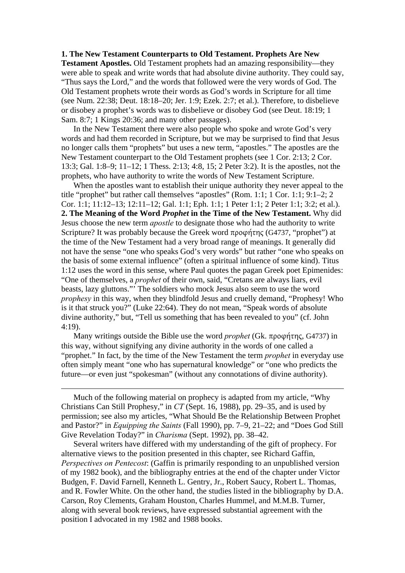**1. The New Testament Counterparts to Old Testament. Prophets Are New Testament Apostles.** Old Testament prophets had an amazing responsibility—they were able to speak and write words that had absolute divine authority. They could say, "Thus says the Lord," and the words that followed were the very words of God. The Old Testament prophets wrote their words as God's words in Scripture for all time (see Num. 22:38; Deut. 18:18–20; Jer. 1:9; Ezek. 2:7; et al.). Therefore, to disbelieve or disobey a prophet's words was to disbelieve or disobey God (see Deut. 18:19; 1 Sam. 8:7; 1 Kings 20:36; and many other passages).

In the New Testament there were also people who spoke and wrote God's very words and had them recorded in Scripture, but we may be surprised to find that Jesus no longer calls them "prophets" but uses a new term, "apostles." The apostles are the New Testament counterpart to the Old Testament prophets (see 1 Cor. 2:13; 2 Cor. 13:3; Gal. 1:8–9; 11–12; 1 Thess. 2:13; 4:8, 15; 2 Peter 3:2). It is the apostles, not the prophets, who have authority to write the words of New Testament Scripture.

When the apostles want to establish their unique authority they never appeal to the title "prophet" but rather call themselves "apostles" (Rom. 1:1; 1 Cor. 1:1; 9:1–2; 2 Cor. 1:1; 11:12–13; 12:11–12; Gal. 1:1; Eph. 1:1; 1 Peter 1:1; 2 Peter 1:1; 3:2; et al.). **2. The Meaning of the Word** *Prophet* **in the Time of the New Testament.** Why did Jesus choose the new term *apostle* to designate those who had the authority to write Scripture? It was probably because the Greek word προφήτης (G4737, "prophet") at the time of the New Testament had a very broad range of meanings. It generally did not have the sense "one who speaks God's very words" but rather "one who speaks on the basis of some external influence" (often a spiritual influence of some kind). Titus 1:12 uses the word in this sense, where Paul quotes the pagan Greek poet Epimenides: "One of themselves, a *prophet* of their own, said, "Cretans are always liars, evil beasts, lazy gluttons."' The soldiers who mock Jesus also seem to use the word *prophesy* in this way, when they blindfold Jesus and cruelly demand, "Prophesy! Who is it that struck you?" (Luke 22:64). They do not mean, "Speak words of absolute divine authority," but, "Tell us something that has been revealed to you" (cf. John 4:19).

Many writings outside the Bible use the word *prophet* (Gk. προφήτης, G4737) in this way, without signifying any divine authority in the words of one called a "prophet." In fact, by the time of the New Testament the term *prophet* in everyday use often simply meant "one who has supernatural knowledge" or "one who predicts the future—or even just "spokesman" (without any connotations of divine authority).

Much of the following material on prophecy is adapted from my article, "Why Christians Can Still Prophesy," in *CT* (Sept. 16, 1988), pp. 29–35, and is used by permission; see also my articles, "What Should Be the Relationship Between Prophet and Pastor?" in *Equipping the Saints* (Fall 1990), pp. 7–9, 21–22; and "Does God Still Give Revelation Today?" in *Charisma* (Sept. 1992), pp. 38–42.

 $\overline{a}$ 

Several writers have differed with my understanding of the gift of prophecy. For alternative views to the position presented in this chapter, see Richard Gaffin, *Perspectives on Pentecost*: (Gaffin is primarily responding to an unpublished version of my 1982 book), and the bibliography entries at the end of the chapter under Victor Budgen, F. David Farnell, Kenneth L. Gentry, Jr., Robert Saucy, Robert L. Thomas, and R. Fowler White. On the other hand, the studies listed in the bibliography by D.A. Carson, Roy Clements, Graham Houston, Charles Hummel, and M.M.B. Turner, along with several book reviews, have expressed substantial agreement with the position I advocated in my 1982 and 1988 books.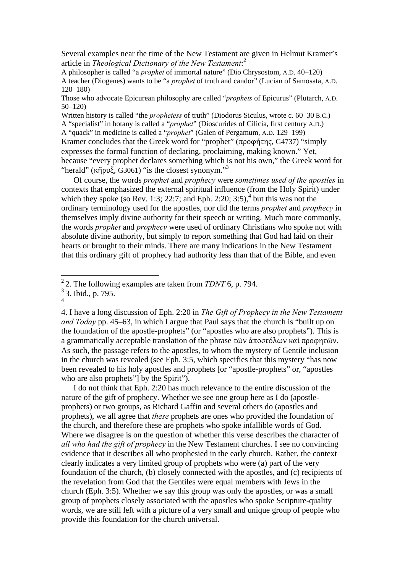Several examples near the time of the New Testament are given in Helmut Kramer's article in *Theological Dictionary of the New Testament*: 2

A philosopher is called "a *prophet* of immortal nature" (Dio Chrysostom, A.D. 40–120) A teacher (Diogenes) wants to be "a *prophet* of truth and candor" (Lucian of Samosata, A.D. 120–180)

Those who advocate Epicurean philosophy are called "*prophets* of Epicurus" (Plutarch, A.D. 50–120)

Written history is called "the *prophetess* of truth" (Diodorus Siculus, wrote c. 60–30 B.C.) A "specialist" in botany is called a "*prophet*" (Dioscurides of Cilicia, first century A.D.) A "quack" in medicine is called a "*prophet*" (Galen of Pergamum, A.D. 129–199) Kramer concludes that the Greek word for "prophet" (προφήτης, G4737) "simply expresses the formal function of declaring, proclaiming, making known." Yet, because "every prophet declares something which is not his own," the Greek word for "herald" (κῆρυξ, G3061) "is the closest synonym."<sup>3</sup>

Of course, the words *prophet* and *prophecy* were *sometimes used of the apostles* in contexts that emphasized the external spiritual influence (from the Holy Spirit) under which they spoke (so Rev. 1:3; 22:7; and Eph. 2:20; 3:5), but this was not the ordinary terminology used for the apostles, nor did the terms *prophet* and *prophecy* in themselves imply divine authority for their speech or writing. Much more commonly, the words *prophet* and *prophecy* were used of ordinary Christians who spoke not with absolute divine authority, but simply to report something that God had laid on their hearts or brought to their minds. There are many indications in the New Testament that this ordinary gift of prophecy had authority less than that of the Bible, and even

 $\overline{a}$ 

4. I have a long discussion of Eph. 2:20 in *The Gift of Prophecy in the New Testament and Today* pp. 45–63, in which I argue that Paul says that the church is "built up on the foundation of the apostle-prophets" (or "apostles who are also prophets"). This is a grammatically acceptable translation of the phrase τῶν ἀποστόλων καὶ προφητῶν. As such, the passage refers to the apostles, to whom the mystery of Gentile inclusion in the church was revealed (see Eph. 3:5, which specifies that this mystery "has now been revealed to his holy apostles and prophets [or "apostle-prophets" or, "apostles who are also prophets"] by the Spirit").

I do not think that Eph. 2:20 has much relevance to the entire discussion of the nature of the gift of prophecy. Whether we see one group here as I do (apostleprophets) or two groups, as Richard Gaffin and several others do (apostles and prophets), we all agree that *these* prophets are ones who provided the foundation of the church, and therefore these are prophets who spoke infallible words of God. Where we disagree is on the question of whether this verse describes the character of *all who had the gift of prophecy* in the New Testament churches. I see no convincing evidence that it describes all who prophesied in the early church. Rather, the context clearly indicates a very limited group of prophets who were (a) part of the very foundation of the church, (b) closely connected with the apostles, and (c) recipients of the revelation from God that the Gentiles were equal members with Jews in the church (Eph. 3:5). Whether we say this group was only the apostles, or was a small group of prophets closely associated with the apostles who spoke Scripture-quality words, we are still left with a picture of a very small and unique group of people who provide this foundation for the church universal.

<sup>2 2.</sup> The following examples are taken from *TDNT* 6, p. 794.

 $3$  3. Ibid., p. 795.

<sup>4</sup>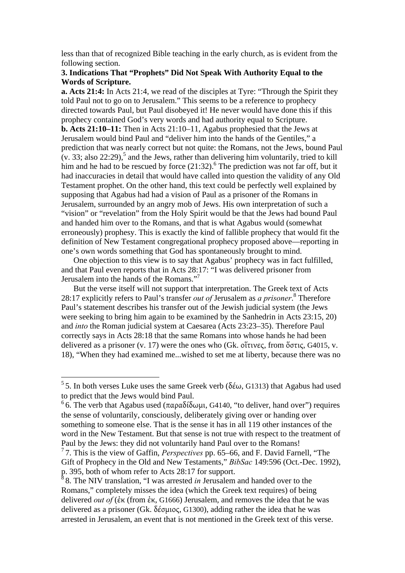less than that of recognized Bible teaching in the early church, as is evident from the following section.

#### **3. Indications That "Prophets" Did Not Speak With Authority Equal to the Words of Scripture.**

**a. Acts 21:4:** In Acts 21:4, we read of the disciples at Tyre: "Through the Spirit they told Paul not to go on to Jerusalem." This seems to be a reference to prophecy directed towards Paul, but Paul disobeyed it! He never would have done this if this prophecy contained God's very words and had authority equal to Scripture. **b. Acts 21:10–11:** Then in Acts 21:10–11, Agabus prophesied that the Jews at Jerusalem would bind Paul and "deliver him into the hands of the Gentiles," a prediction that was nearly correct but not quite: the Romans, not the Jews, bound Paul  $(v. 33;$  also  $22:29)$ ,<sup>5</sup> and the Jews, rather than delivering him voluntarily, tried to kill him and he had to be rescued by force  $(21:32)$ .<sup>6</sup> The prediction was not far off, but it had inaccuracies in detail that would have called into question the validity of any Old Testament prophet. On the other hand, this text could be perfectly well explained by supposing that Agabus had had a vision of Paul as a prisoner of the Romans in Jerusalem, surrounded by an angry mob of Jews. His own interpretation of such a "vision" or "revelation" from the Holy Spirit would be that the Jews had bound Paul and handed him over to the Romans, and that is what Agabus would (somewhat erroneously) prophesy. This is exactly the kind of fallible prophecy that would fit the definition of New Testament congregational prophecy proposed above—reporting in one's own words something that God has spontaneously brought to mind.

One objection to this view is to say that Agabus' prophecy was in fact fulfilled, and that Paul even reports that in Acts 28:17: "I was delivered prisoner from Jerusalem into the hands of the Romans."7

But the verse itself will not support that interpretation. The Greek text of Acts 28:17 explicitly refers to Paul's transfer *out of* Jerusalem as *a prisoner*. 8 Therefore Paul's statement describes his transfer out of the Jewish judicial system (the Jews were seeking to bring him again to be examined by the Sanhedrin in Acts 23:15, 20) and *into* the Roman judicial system at Caesarea (Acts 23:23–35). Therefore Paul correctly says in Acts 28:18 that the same Romans into whose hands he had been delivered as a prisoner (v. 17) were the ones who (Gk. οἵτινες, from ὅστις, G4015, v. 18), "When they had examined me...wished to set me at liberty, because there was no

<sup>&</sup>lt;sup>5</sup> 5. In both verses Luke uses the same Greek verb (δέω, G1313) that Agabus had used to predict that the Jews would bind Paul.

<sup>&</sup>lt;sup>6</sup> 6. The verb that Agabus used (παραδίδωμι, G4140, "to deliver, hand over") requires the sense of voluntarily, consciously, deliberately giving over or handing over something to someone else. That is the sense it has in all 119 other instances of the word in the New Testament. But that sense is not true with respect to the treatment of Paul by the Jews: they did not voluntarily hand Paul over to the Romans!

<sup>7 7.</sup> This is the view of Gaffin, *Perspectives* pp. 65–66, and F. David Farnell, "The Gift of Prophecy in the Old and New Testaments," *BibSac* 149:596 (Oct.-Dec. 1992), p. 395, both of whom refer to Acts 28:17 for support.

<sup>8 8.</sup> The NIV translation, "I was arrested *in* Jerusalem and handed over to the Romans," completely misses the idea (which the Greek text requires) of being delivered *out of* (ἐκ (from ἐκ, G1666) Jerusalem, and removes the idea that he was delivered as a prisoner (Gk. δέσμιος, G1300), adding rather the idea that he was arrested in Jerusalem, an event that is not mentioned in the Greek text of this verse.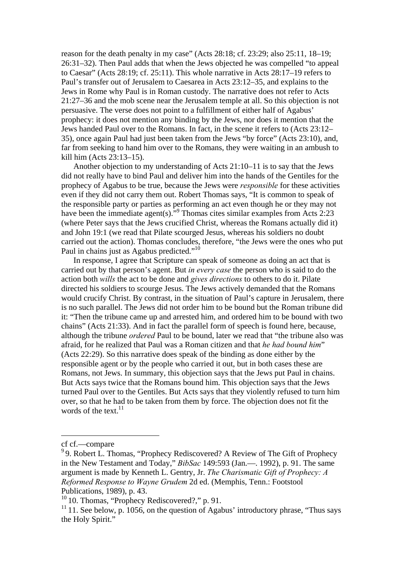reason for the death penalty in my case" (Acts 28:18; cf. 23:29; also 25:11, 18–19; 26:31–32). Then Paul adds that when the Jews objected he was compelled "to appeal to Caesar" (Acts 28:19; cf. 25:11). This whole narrative in Acts 28:17–19 refers to Paul's transfer out of Jerusalem to Caesarea in Acts 23:12–35, and explains to the Jews in Rome why Paul is in Roman custody. The narrative does not refer to Acts 21:27–36 and the mob scene near the Jerusalem temple at all. So this objection is not persuasive. The verse does not point to a fulfillment of either half of Agabus' prophecy: it does not mention any binding by the Jews, nor does it mention that the Jews handed Paul over to the Romans. In fact, in the scene it refers to (Acts 23:12– 35), once again Paul had just been taken from the Jews "by force" (Acts 23:10), and, far from seeking to hand him over to the Romans, they were waiting in an ambush to kill him (Acts 23:13–15).

Another objection to my understanding of Acts 21:10–11 is to say that the Jews did not really have to bind Paul and deliver him into the hands of the Gentiles for the prophecy of Agabus to be true, because the Jews were *responsible* for these activities even if they did not carry them out. Robert Thomas says, "It is common to speak of the responsible party or parties as performing an act even though he or they may not have been the immediate agent(s).<sup>",9</sup> Thomas cites similar examples from Acts 2:23 (where Peter says that the Jews crucified Christ, whereas the Romans actually did it) and John 19:1 (we read that Pilate scourged Jesus, whereas his soldiers no doubt carried out the action). Thomas concludes, therefore, "the Jews were the ones who put Paul in chains just as Agabus predicted."<sup>10</sup>

In response, I agree that Scripture can speak of someone as doing an act that is carried out by that person's agent. But *in every case* the person who is said to do the action both *wills* the act to be done and *gives directions* to others to do it. Pilate directed his soldiers to scourge Jesus. The Jews actively demanded that the Romans would crucify Christ. By contrast, in the situation of Paul's capture in Jerusalem, there is no such parallel. The Jews did not order him to be bound but the Roman tribune did it: "Then the tribune came up and arrested him, and ordered him to be bound with two chains" (Acts 21:33). And in fact the parallel form of speech is found here, because, although the tribune *ordered* Paul to be bound, later we read that "the tribune also was afraid, for he realized that Paul was a Roman citizen and that *he had bound him*" (Acts 22:29). So this narrative does speak of the binding as done either by the responsible agent or by the people who carried it out, but in both cases these are Romans, not Jews. In summary, this objection says that the Jews put Paul in chains. But Acts says twice that the Romans bound him. This objection says that the Jews turned Paul over to the Gentiles. But Acts says that they violently refused to turn him over, so that he had to be taken from them by force. The objection does not fit the words of the text.<sup>11</sup>

cf cf.—compare

<sup>&</sup>lt;sup>9</sup> 9. Robert L. Thomas, "Prophecy Rediscovered? A Review of The Gift of Prophecy in the New Testament and Today," *BibSac* 149:593 (Jan.—. 1992), p. 91. The same argument is made by Kenneth L. Gentry, Jr. *The Charismatic Gift of Prophecy: A Reformed Response to Wayne Grudem* 2d ed. (Memphis, Tenn.: Footstool Publications, 1989), p. 43.

<sup>&</sup>lt;sup>10</sup> 10. Thomas, "Prophecy Rediscovered?," p. 91.

 $11$  11. See below, p. 1056, on the question of Agabus' introductory phrase, "Thus says the Holy Spirit."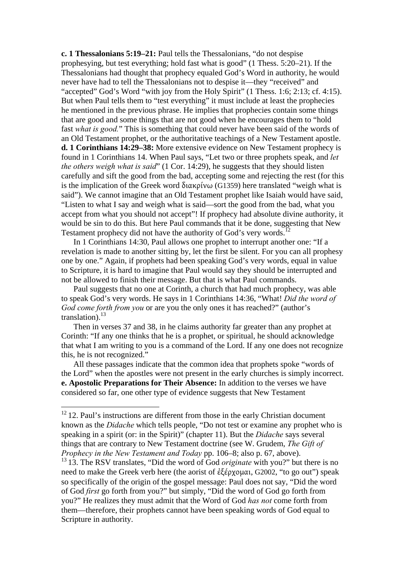**c. 1 Thessalonians 5:19–21:** Paul tells the Thessalonians, "do not despise prophesying, but test everything; hold fast what is good" (1 Thess. 5:20–21). If the Thessalonians had thought that prophecy equaled God's Word in authority, he would never have had to tell the Thessalonians not to despise it—they "received" and "accepted" God's Word "with joy from the Holy Spirit" (1 Thess. 1:6; 2:13; cf. 4:15). But when Paul tells them to "test everything" it must include at least the prophecies he mentioned in the previous phrase. He implies that prophecies contain some things that are good and some things that are not good when he encourages them to "hold fast *what is good.*" This is something that could never have been said of the words of an Old Testament prophet, or the authoritative teachings of a New Testament apostle. **d. 1 Corinthians 14:29–38:** More extensive evidence on New Testament prophecy is found in 1 Corinthians 14. When Paul says, "Let two or three prophets speak, and *let the others weigh what is said*" (1 Cor. 14:29), he suggests that they should listen carefully and sift the good from the bad, accepting some and rejecting the rest (for this is the implication of the Greek word διακρίνω (G1359) here translated "weigh what is said"). We cannot imagine that an Old Testament prophet like Isaiah would have said, "Listen to what I say and weigh what is said—sort the good from the bad, what you accept from what you should not accept"! If prophecy had absolute divine authority, it would be sin to do this. But here Paul commands that it be done, suggesting that New Testament prophecy did not have the authority of God's very words.<sup>12</sup>

In 1 Corinthians 14:30, Paul allows one prophet to interrupt another one: "If a revelation is made to another sitting by, let the first be silent. For you can all prophesy one by one." Again, if prophets had been speaking God's very words, equal in value to Scripture, it is hard to imagine that Paul would say they should be interrupted and not be allowed to finish their message. But that is what Paul commands.

Paul suggests that no one at Corinth, a church that had much prophecy, was able to speak God's very words. He says in 1 Corinthians 14:36, "What! *Did the word of God come forth from you* or are you the only ones it has reached?" (author's translation). $^{13}$ 

Then in verses 37 and 38, in he claims authority far greater than any prophet at Corinth: "If any one thinks that he is a prophet, or spiritual, he should acknowledge that what I am writing to you is a command of the Lord. If any one does not recognize this, he is not recognized."

All these passages indicate that the common idea that prophets spoke "words of the Lord" when the apostles were not present in the early churches is simply incorrect. **e. Apostolic Preparations for Their Absence:** In addition to the verses we have considered so far, one other type of evidence suggests that New Testament

 $12$  12. Paul's instructions are different from those in the early Christian document known as the *Didache* which tells people, "Do not test or examine any prophet who is speaking in a spirit (or: in the Spirit)" (chapter 11). But the *Didache* says several things that are contrary to New Testament doctrine (see W. Grudem, *The Gift of Prophecy in the New Testament and Today* pp. 106–8; also p. 67, above).

<sup>&</sup>lt;sup>13</sup> 13. The RSV translates, "Did the word of God *originate* with you?" but there is no need to make the Greek verb here (the aorist of ἐξέρχομαι, G2002, "to go out") speak so specifically of the origin of the gospel message: Paul does not say, "Did the word of God *first* go forth from you?" but simply, "Did the word of God go forth from you?" He realizes they must admit that the Word of God *has not* come forth from them—therefore, their prophets cannot have been speaking words of God equal to Scripture in authority.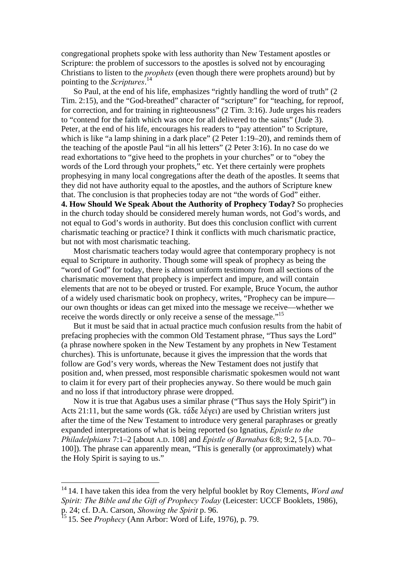congregational prophets spoke with less authority than New Testament apostles or Scripture: the problem of successors to the apostles is solved not by encouraging Christians to listen to the *prophets* (even though there were prophets around) but by pointing to the *Scriptures*. 14

So Paul, at the end of his life, emphasizes "rightly handling the word of truth" (2 Tim. 2:15), and the "God-breathed" character of "scripture" for "teaching, for reproof, for correction, and for training in righteousness" (2 Tim. 3:16). Jude urges his readers to "contend for the faith which was once for all delivered to the saints" (Jude 3). Peter, at the end of his life, encourages his readers to "pay attention" to Scripture, which is like "a lamp shining in a dark place" (2 Peter 1:19–20), and reminds them of the teaching of the apostle Paul "in all his letters" (2 Peter 3:16). In no case do we read exhortations to "give heed to the prophets in your churches" or to "obey the words of the Lord through your prophets," etc. Yet there certainly were prophets prophesying in many local congregations after the death of the apostles. It seems that they did not have authority equal to the apostles, and the authors of Scripture knew that. The conclusion is that prophecies today are not "the words of God" either. **4. How Should We Speak About the Authority of Prophecy Today?** So prophecies in the church today should be considered merely human words, not God's words, and not equal to God's words in authority. But does this conclusion conflict with current charismatic teaching or practice? I think it conflicts with much charismatic practice, but not with most charismatic teaching.

Most charismatic teachers today would agree that contemporary prophecy is not equal to Scripture in authority. Though some will speak of prophecy as being the "word of God" for today, there is almost uniform testimony from all sections of the charismatic movement that prophecy is imperfect and impure, and will contain elements that are not to be obeyed or trusted. For example, Bruce Yocum, the author of a widely used charismatic book on prophecy, writes, "Prophecy can be impure our own thoughts or ideas can get mixed into the message we receive—whether we receive the words directly or only receive a sense of the message."15

But it must be said that in actual practice much confusion results from the habit of prefacing prophecies with the common Old Testament phrase, "Thus says the Lord" (a phrase nowhere spoken in the New Testament by any prophets in New Testament churches). This is unfortunate, because it gives the impression that the words that follow are God's very words, whereas the New Testament does not justify that position and, when pressed, most responsible charismatic spokesmen would not want to claim it for every part of their prophecies anyway. So there would be much gain and no loss if that introductory phrase were dropped.

Now it is true that Agabus uses a similar phrase ("Thus says the Holy Spirit") in Acts 21:11, but the same words (Gk. τάδε λέγει) are used by Christian writers just after the time of the New Testament to introduce very general paraphrases or greatly expanded interpretations of what is being reported (so Ignatius, *Epistle to the Philadelphians* 7:1–2 [about A.D. 108] and *Epistle of Barnabas* 6:8; 9:2, 5 [A.D. 70– 100]). The phrase can apparently mean, "This is generally (or approximately) what the Holy Spirit is saying to us."

<sup>14 14.</sup> I have taken this idea from the very helpful booklet by Roy Clements, *Word and Spirit: The Bible and the Gift of Prophecy Today* (Leicester: UCCF Booklets, 1986), p. 24; cf. D.A. Carson, *Showing the Spirit* p. 96.

<sup>15 15.</sup> See *Prophecy* (Ann Arbor: Word of Life, 1976), p. 79.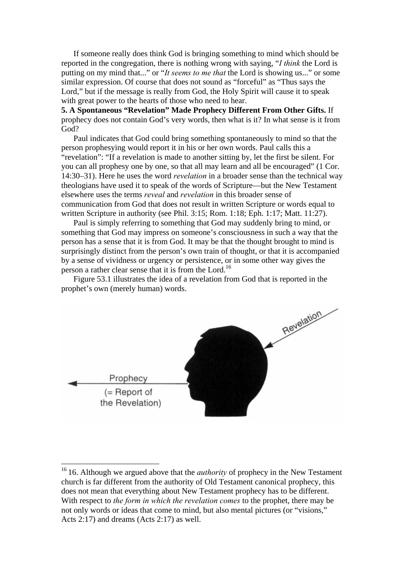If someone really does think God is bringing something to mind which should be reported in the congregation, there is nothing wrong with saying, "*I think* the Lord is putting on my mind that..." or "*It seems to me that* the Lord is showing us..." or some similar expression. Of course that does not sound as "forceful" as "Thus says the Lord," but if the message is really from God, the Holy Spirit will cause it to speak with great power to the hearts of those who need to hear.

**5. A Spontaneous "Revelation" Made Prophecy Different From Other Gifts.** If prophecy does not contain God's very words, then what is it? In what sense is it from God?

Paul indicates that God could bring something spontaneously to mind so that the person prophesying would report it in his or her own words. Paul calls this a "revelation": "If a revelation is made to another sitting by, let the first be silent. For you can all prophesy one by one, so that all may learn and all be encouraged" (1 Cor. 14:30–31). Here he uses the word *revelation* in a broader sense than the technical way theologians have used it to speak of the words of Scripture—but the New Testament elsewhere uses the terms *reveal* and *revelation* in this broader sense of communication from God that does not result in written Scripture or words equal to written Scripture in authority (see Phil. 3:15; Rom. 1:18; Eph. 1:17; Matt. 11:27).

Paul is simply referring to something that God may suddenly bring to mind, or something that God may impress on someone's consciousness in such a way that the person has a sense that it is from God. It may be that the thought brought to mind is surprisingly distinct from the person's own train of thought, or that it is accompanied by a sense of vividness or urgency or persistence, or in some other way gives the person a rather clear sense that it is from the Lord.<sup>16</sup>

Figure 53.1 illustrates the idea of a revelation from God that is reported in the prophet's own (merely human) words.



<sup>16 16.</sup> Although we argued above that the *authority* of prophecy in the New Testament church is far different from the authority of Old Testament canonical prophecy, this does not mean that everything about New Testament prophecy has to be different. With respect to *the form in which the revelation comes* to the prophet, there may be not only words or ideas that come to mind, but also mental pictures (or "visions," Acts 2:17) and dreams (Acts 2:17) as well.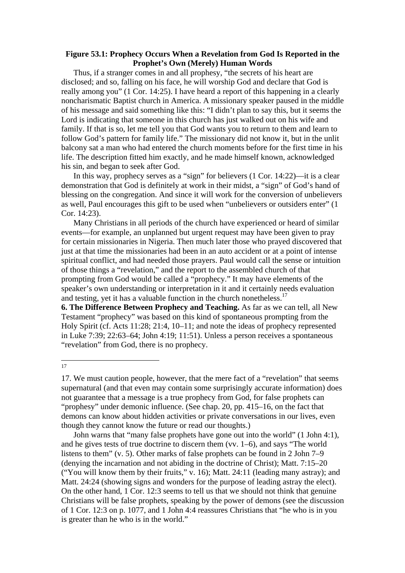#### **Figure 53.1: Prophecy Occurs When a Revelation from God Is Reported in the Prophet's Own (Merely) Human Words**

Thus, if a stranger comes in and all prophesy, "the secrets of his heart are disclosed; and so, falling on his face, he will worship God and declare that God is really among you" (1 Cor. 14:25). I have heard a report of this happening in a clearly noncharismatic Baptist church in America. A missionary speaker paused in the middle of his message and said something like this: "I didn't plan to say this, but it seems the Lord is indicating that someone in this church has just walked out on his wife and family. If that is so, let me tell you that God wants you to return to them and learn to follow God's pattern for family life." The missionary did not know it, but in the unlit balcony sat a man who had entered the church moments before for the first time in his life. The description fitted him exactly, and he made himself known, acknowledged his sin, and began to seek after God.

In this way, prophecy serves as a "sign" for believers (1 Cor. 14:22)—it is a clear demonstration that God is definitely at work in their midst, a "sign" of God's hand of blessing on the congregation. And since it will work for the conversion of unbelievers as well, Paul encourages this gift to be used when "unbelievers or outsiders enter" (1 Cor. 14:23).

Many Christians in all periods of the church have experienced or heard of similar events—for example, an unplanned but urgent request may have been given to pray for certain missionaries in Nigeria. Then much later those who prayed discovered that just at that time the missionaries had been in an auto accident or at a point of intense spiritual conflict, and had needed those prayers. Paul would call the sense or intuition of those things a "revelation," and the report to the assembled church of that prompting from God would be called a "prophecy." It may have elements of the speaker's own understanding or interpretation in it and it certainly needs evaluation and testing, yet it has a valuable function in the church nonetheless.<sup>17</sup>

**6. The Difference Between Prophecy and Teaching.** As far as we can tell, all New Testament "prophecy" was based on this kind of spontaneous prompting from the Holy Spirit (cf. Acts 11:28; 21:4, 10–11; and note the ideas of prophecy represented in Luke 7:39; 22:63–64; John 4:19; 11:51). Unless a person receives a spontaneous "revelation" from God, there is no prophecy.

 $\frac{1}{17}$ 

<sup>17.</sup> We must caution people, however, that the mere fact of a "revelation" that seems supernatural (and that even may contain some surprisingly accurate information) does not guarantee that a message is a true prophecy from God, for false prophets can "prophesy" under demonic influence. (See chap. 20, pp. 415–16, on the fact that demons can know about hidden activities or private conversations in our lives, even though they cannot know the future or read our thoughts.)

John warns that "many false prophets have gone out into the world" (1 John 4:1), and he gives tests of true doctrine to discern them (vv. 1–6), and says "The world listens to them" (v. 5). Other marks of false prophets can be found in 2 John 7–9 (denying the incarnation and not abiding in the doctrine of Christ); Matt. 7:15–20 ("You will know them by their fruits," v. 16); Matt. 24:11 (leading many astray); and Matt. 24:24 (showing signs and wonders for the purpose of leading astray the elect). On the other hand, 1 Cor. 12:3 seems to tell us that we should not think that genuine Christians will be false prophets, speaking by the power of demons (see the discussion of 1 Cor. 12:3 on p. 1077, and 1 John 4:4 reassures Christians that "he who is in you is greater than he who is in the world."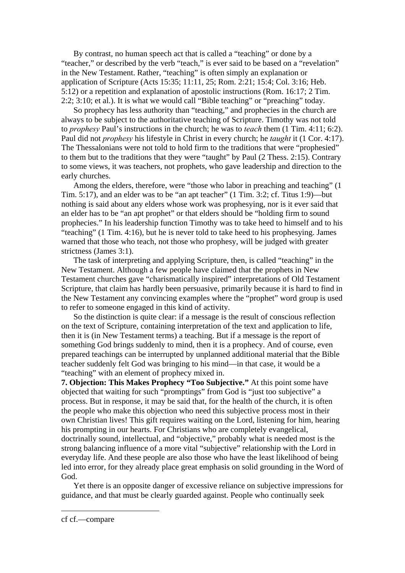By contrast, no human speech act that is called a "teaching" or done by a "teacher," or described by the verb "teach," is ever said to be based on a "revelation" in the New Testament. Rather, "teaching" is often simply an explanation or application of Scripture (Acts 15:35; 11:11, 25; Rom. 2:21; 15:4; Col. 3:16; Heb. 5:12) or a repetition and explanation of apostolic instructions (Rom. 16:17; 2 Tim. 2:2; 3:10; et al.). It is what we would call "Bible teaching" or "preaching" today.

So prophecy has less authority than "teaching," and prophecies in the church are always to be subject to the authoritative teaching of Scripture. Timothy was not told to *prophesy* Paul's instructions in the church; he was to *teach* them (1 Tim. 4:11; 6:2). Paul did not *prophesy* his lifestyle in Christ in every church; he *taught* it (1 Cor. 4:17). The Thessalonians were not told to hold firm to the traditions that were "prophesied" to them but to the traditions that they were "taught" by Paul (2 Thess. 2:15). Contrary to some views, it was teachers, not prophets, who gave leadership and direction to the early churches.

Among the elders, therefore, were "those who labor in preaching and teaching" (1 Tim. 5:17), and an elder was to be "an apt teacher" (1 Tim. 3:2; cf. Titus 1:9)—but nothing is said about any elders whose work was prophesying, nor is it ever said that an elder has to be "an apt prophet" or that elders should be "holding firm to sound prophecies." In his leadership function Timothy was to take heed to himself and to his "teaching" (1 Tim. 4:16), but he is never told to take heed to his prophesying. James warned that those who teach, not those who prophesy, will be judged with greater strictness (James 3:1).

The task of interpreting and applying Scripture, then, is called "teaching" in the New Testament. Although a few people have claimed that the prophets in New Testament churches gave "charismatically inspired" interpretations of Old Testament Scripture, that claim has hardly been persuasive, primarily because it is hard to find in the New Testament any convincing examples where the "prophet" word group is used to refer to someone engaged in this kind of activity.

So the distinction is quite clear: if a message is the result of conscious reflection on the text of Scripture, containing interpretation of the text and application to life, then it is (in New Testament terms) a teaching. But if a message is the report of something God brings suddenly to mind, then it is a prophecy. And of course, even prepared teachings can be interrupted by unplanned additional material that the Bible teacher suddenly felt God was bringing to his mind—in that case, it would be a "teaching" with an element of prophecy mixed in.

**7. Objection: This Makes Prophecy "Too Subjective."** At this point some have objected that waiting for such "promptings" from God is "just too subjective" a process. But in response, it may be said that, for the health of the church, it is often the people who make this objection who need this subjective process most in their own Christian lives! This gift requires waiting on the Lord, listening for him, hearing his prompting in our hearts. For Christians who are completely evangelical, doctrinally sound, intellectual, and "objective," probably what is needed most is the strong balancing influence of a more vital "subjective" relationship with the Lord in everyday life. And these people are also those who have the least likelihood of being led into error, for they already place great emphasis on solid grounding in the Word of God.

Yet there is an opposite danger of excessive reliance on subjective impressions for guidance, and that must be clearly guarded against. People who continually seek

cf cf.—compare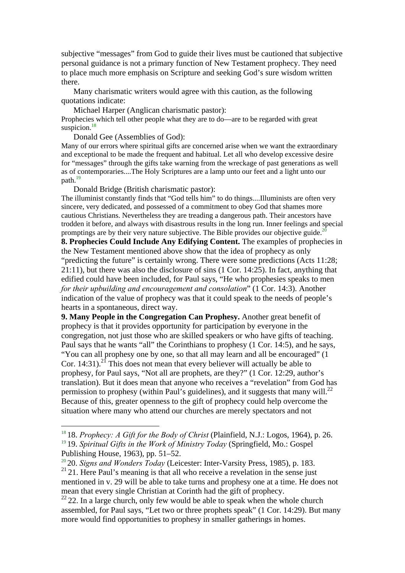subjective "messages" from God to guide their lives must be cautioned that subjective personal guidance is not a primary function of New Testament prophecy. They need to place much more emphasis on Scripture and seeking God's sure wisdom written there.

Many charismatic writers would agree with this caution, as the following quotations indicate:

Michael Harper (Anglican charismatic pastor):

Prophecies which tell other people what they are to do—are to be regarded with great suspicion. $18$ 

Donald Gee (Assemblies of God):

 $\overline{a}$ 

Many of our errors where spiritual gifts are concerned arise when we want the extraordinary and exceptional to be made the frequent and habitual. Let all who develop excessive desire for "messages" through the gifts take warning from the wreckage of past generations as well as of contemporaries....The Holy Scriptures are a lamp unto our feet and a light unto our path. $^{19}$ 

Donald Bridge (British charismatic pastor):

The illuminist constantly finds that "God tells him" to do things....Illuminists are often very sincere, very dedicated, and possessed of a commitment to obey God that shames more cautious Christians. Nevertheless they are treading a dangerous path. Their ancestors have trodden it before, and always with disastrous results in the long run. Inner feelings and special promptings are by their very nature subjective. The Bible provides our objective guide. $<sup>2</sup>$ </sup>

**8. Prophecies Could Include Any Edifying Content.** The examples of prophecies in the New Testament mentioned above show that the idea of prophecy as only "predicting the future" is certainly wrong. There were some predictions (Acts 11:28; 21:11), but there was also the disclosure of sins (1 Cor. 14:25). In fact, anything that edified could have been included, for Paul says, "He who prophesies speaks to men *for their upbuilding and encouragement and consolation*" (1 Cor. 14:3). Another indication of the value of prophecy was that it could speak to the needs of people's hearts in a spontaneous, direct way.

**9. Many People in the Congregation Can Prophesy.** Another great benefit of prophecy is that it provides opportunity for participation by everyone in the congregation, not just those who are skilled speakers or who have gifts of teaching. Paul says that he wants "all" the Corinthians to prophesy (1 Cor. 14:5), and he says, "You can all prophesy one by one, so that all may learn and all be encouraged" (1 Cor. 14:31).<sup>21</sup> This does not mean that every believer will actually be able to prophesy, for Paul says, "Not all are prophets, are they?" (1 Cor. 12:29, author's translation). But it does mean that anyone who receives a "revelation" from God has permission to prophesy (within Paul's guidelines), and it suggests that many will.<sup>22</sup> Because of this, greater openness to the gift of prophecy could help overcome the situation where many who attend our churches are merely spectators and not

<sup>18 18.</sup> *Prophecy: A Gift for the Body of Christ* (Plainfield, N.J.: Logos, 1964), p. 26. 19 19. *Spiritual Gifts in the Work of Ministry Today* (Springfield, Mo.: Gospel Publishing House, 1963), pp. 51–52.

<sup>20 20.</sup> *Signs and Wonders Today* (Leicester: Inter-Varsity Press, 1985), p. 183.

 $21$  21. Here Paul's meaning is that all who receive a revelation in the sense just mentioned in v. 29 will be able to take turns and prophesy one at a time. He does not mean that every single Christian at Corinth had the gift of prophecy.

 $22$  22. In a large church, only few would be able to speak when the whole church assembled, for Paul says, "Let two or three prophets speak" (1 Cor. 14:29). But many more would find opportunities to prophesy in smaller gatherings in homes.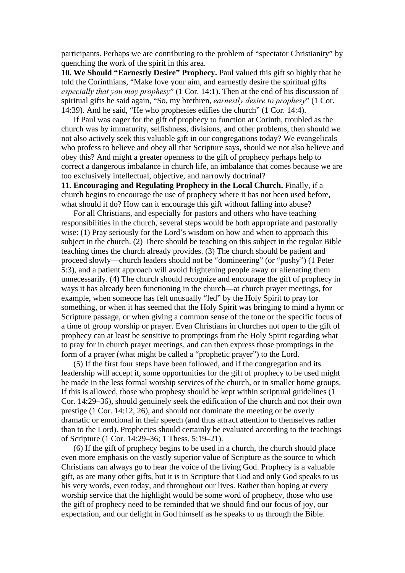participants. Perhaps we are contributing to the problem of "spectator Christianity" by quenching the work of the spirit in this area.

**10. We Should "Earnestly Desire" Prophecy.** Paul valued this gift so highly that he told the Corinthians, "Make love your aim, and earnestly desire the spiritual gifts *especially that you may prophesy*" (1 Cor. 14:1). Then at the end of his discussion of spiritual gifts he said again, "So, my brethren, *earnestly desire to prophesy*" (1 Cor. 14:39). And he said, "He who prophesies edifies the church" (1 Cor. 14:4).

If Paul was eager for the gift of prophecy to function at Corinth, troubled as the church was by immaturity, selfishness, divisions, and other problems, then should we not also actively seek this valuable gift in our congregations today? We evangelicals who profess to believe and obey all that Scripture says, should we not also believe and obey this? And might a greater openness to the gift of prophecy perhaps help to correct a dangerous imbalance in church life, an imbalance that comes because we are too exclusively intellectual, objective, and narrowly doctrinal?

**11. Encouraging and Regulating Prophecy in the Local Church.** Finally, if a church begins to encourage the use of prophecy where it has not been used before, what should it do? How can it encourage this gift without falling into abuse?

For all Christians, and especially for pastors and others who have teaching responsibilities in the church, several steps would be both appropriate and pastorally wise: (1) Pray seriously for the Lord's wisdom on how and when to approach this subject in the church. (2) There should be teaching on this subject in the regular Bible teaching times the church already provides. (3) The church should be patient and proceed slowly—church leaders should not be "domineering" (or "pushy") (1 Peter 5:3), and a patient approach will avoid frightening people away or alienating them unnecessarily. (4) The church should recognize and encourage the gift of prophecy in ways it has already been functioning in the church—at church prayer meetings, for example, when someone has felt unusually "led" by the Holy Spirit to pray for something, or when it has seemed that the Holy Spirit was bringing to mind a hymn or Scripture passage, or when giving a common sense of the tone or the specific focus of a time of group worship or prayer. Even Christians in churches not open to the gift of prophecy can at least be sensitive to promptings from the Holy Spirit regarding what to pray for in church prayer meetings, and can then express those promptings in the form of a prayer (what might be called a "prophetic prayer") to the Lord.

(5) If the first four steps have been followed, and if the congregation and its leadership will accept it, some opportunities for the gift of prophecy to be used might be made in the less formal worship services of the church, or in smaller home groups. If this is allowed, those who prophesy should be kept within scriptural guidelines (1 Cor. 14:29–36), should genuinely seek the edification of the church and not their own prestige (1 Cor. 14:12, 26), and should not dominate the meeting or be overly dramatic or emotional in their speech (and thus attract attention to themselves rather than to the Lord). Prophecies should certainly be evaluated according to the teachings of Scripture (1 Cor. 14:29–36; 1 Thess. 5:19–21).

(6) If the gift of prophecy begins to be used in a church, the church should place even more emphasis on the vastly superior value of Scripture as the source to which Christians can always go to hear the voice of the living God. Prophecy is a valuable gift, as are many other gifts, but it is in Scripture that God and only God speaks to us his very words, even today, and throughout our lives. Rather than hoping at every worship service that the highlight would be some word of prophecy, those who use the gift of prophecy need to be reminded that we should find our focus of joy, our expectation, and our delight in God himself as he speaks to us through the Bible.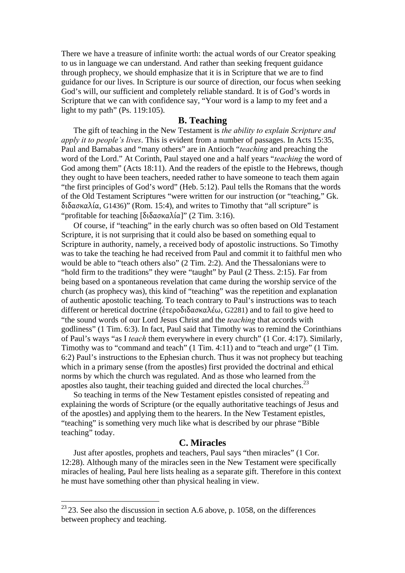There we have a treasure of infinite worth: the actual words of our Creator speaking to us in language we can understand. And rather than seeking frequent guidance through prophecy, we should emphasize that it is in Scripture that we are to find guidance for our lives. In Scripture is our source of direction, our focus when seeking God's will, our sufficient and completely reliable standard. It is of God's words in Scripture that we can with confidence say, "Your word is a lamp to my feet and a light to my path" (Ps. 119:105).

### **B. Teaching**

The gift of teaching in the New Testament is *the ability to explain Scripture and apply it to people's lives*. This is evident from a number of passages. In Acts 15:35, Paul and Barnabas and "many others" are in Antioch "*teaching* and preaching the word of the Lord." At Corinth, Paul stayed one and a half years "*teaching* the word of God among them" (Acts 18:11). And the readers of the epistle to the Hebrews, though they ought to have been teachers, needed rather to have someone to teach them again "the first principles of God's word" (Heb. 5:12). Paul tells the Romans that the words of the Old Testament Scriptures "were written for our instruction (or "teaching," Gk. διδασκαλία, G1436)" (Rom. 15:4), and writes to Timothy that "all scripture" is "profitable for teaching  $\left[\delta_1 \delta_2 \alpha_3 \alpha_4 \alpha\right]'$  (2 Tim. 3:16).

Of course, if "teaching" in the early church was so often based on Old Testament Scripture, it is not surprising that it could also be based on something equal to Scripture in authority, namely, a received body of apostolic instructions. So Timothy was to take the teaching he had received from Paul and commit it to faithful men who would be able to "teach others also" (2 Tim. 2:2). And the Thessalonians were to "hold firm to the traditions" they were "taught" by Paul (2 Thess. 2:15). Far from being based on a spontaneous revelation that came during the worship service of the church (as prophecy was), this kind of "teaching" was the repetition and explanation of authentic apostolic teaching. To teach contrary to Paul's instructions was to teach different or heretical doctrine (ἑτεροδιδασκαλέω, G2281) and to fail to give heed to "the sound words of our Lord Jesus Christ and the *teaching* that accords with godliness" (1 Tim. 6:3). In fact, Paul said that Timothy was to remind the Corinthians of Paul's ways "as I *teach* them everywhere in every church" (1 Cor. 4:17). Similarly, Timothy was to "command and teach" (1 Tim. 4:11) and to "teach and urge" (1 Tim. 6:2) Paul's instructions to the Ephesian church. Thus it was not prophecy but teaching which in a primary sense (from the apostles) first provided the doctrinal and ethical norms by which the church was regulated. And as those who learned from the apostles also taught, their teaching guided and directed the local churches.<sup>23</sup>

So teaching in terms of the New Testament epistles consisted of repeating and explaining the words of Scripture (or the equally authoritative teachings of Jesus and of the apostles) and applying them to the hearers. In the New Testament epistles, "teaching" is something very much like what is described by our phrase "Bible teaching" today.

## **C. Miracles**

Just after apostles, prophets and teachers, Paul says "then miracles" (1 Cor. 12:28). Although many of the miracles seen in the New Testament were specifically miracles of healing, Paul here lists healing as a separate gift. Therefore in this context he must have something other than physical healing in view.

 $^{23}$  23. See also the discussion in section A.6 above, p. 1058, on the differences between prophecy and teaching.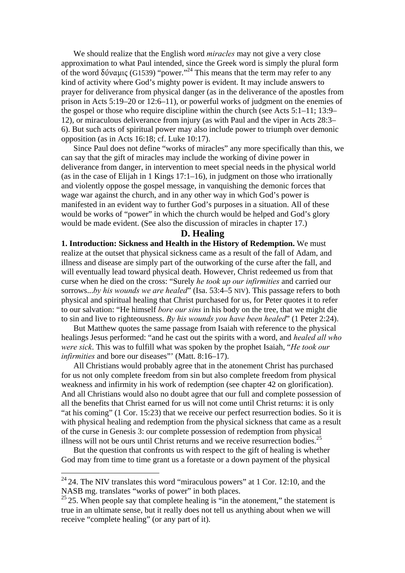We should realize that the English word *miracles* may not give a very close approximation to what Paul intended, since the Greek word is simply the plural form of the word δύναμις (G1539) "power."24 This means that the term may refer to any kind of activity where God's mighty power is evident. It may include answers to prayer for deliverance from physical danger (as in the deliverance of the apostles from prison in Acts 5:19–20 or 12:6–11), or powerful works of judgment on the enemies of the gospel or those who require discipline within the church (see Acts 5:1–11; 13:9– 12), or miraculous deliverance from injury (as with Paul and the viper in Acts 28:3– 6). But such acts of spiritual power may also include power to triumph over demonic opposition (as in Acts 16:18; cf. Luke 10:17).

Since Paul does not define "works of miracles" any more specifically than this, we can say that the gift of miracles may include the working of divine power in deliverance from danger, in intervention to meet special needs in the physical world (as in the case of Elijah in 1 Kings 17:1–16), in judgment on those who irrationally and violently oppose the gospel message, in vanquishing the demonic forces that wage war against the church, and in any other way in which God's power is manifested in an evident way to further God's purposes in a situation. All of these would be works of "power" in which the church would be helped and God's glory would be made evident. (See also the discussion of miracles in chapter 17.)

#### **D. Healing**

**1. Introduction: Sickness and Health in the History of Redemption.** We must realize at the outset that physical sickness came as a result of the fall of Adam, and illness and disease are simply part of the outworking of the curse after the fall, and will eventually lead toward physical death. However, Christ redeemed us from that curse when he died on the cross: "Surely *he took up our infirmities* and carried our sorrows...*by his wounds we are healed*" (Isa. 53:4–5 NIV). This passage refers to both physical and spiritual healing that Christ purchased for us, for Peter quotes it to refer to our salvation: "He himself *bore our sins* in his body on the tree, that we might die to sin and live to righteousness. *By his wounds you have been healed*" (1 Peter 2:24).

But Matthew quotes the same passage from Isaiah with reference to the physical healings Jesus performed: "and he cast out the spirits with a word, and *healed all who were sick*. This was to fulfill what was spoken by the prophet Isaiah, "*He took our infirmities* and bore our diseases" (Matt. 8:16–17).

All Christians would probably agree that in the atonement Christ has purchased for us not only complete freedom from sin but also complete freedom from physical weakness and infirmity in his work of redemption (see chapter 42 on glorification). And all Christians would also no doubt agree that our full and complete possession of all the benefits that Christ earned for us will not come until Christ returns: it is only "at his coming" (1 Cor. 15:23) that we receive our perfect resurrection bodies. So it is with physical healing and redemption from the physical sickness that came as a result of the curse in Genesis 3: our complete possession of redemption from physical illness will not be ours until Christ returns and we receive resurrection bodies.<sup>25</sup>

But the question that confronts us with respect to the gift of healing is whether God may from time to time grant us a foretaste or a down payment of the physical

 $24$  24. The NIV translates this word "miraculous powers" at 1 Cor. 12:10, and the NASB mg. translates "works of power" in both places.

 $2525$ . When people say that complete healing is "in the atonement," the statement is true in an ultimate sense, but it really does not tell us anything about when we will receive "complete healing" (or any part of it).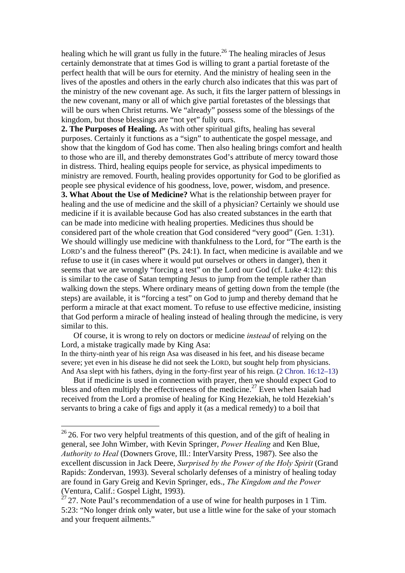healing which he will grant us fully in the future.<sup>26</sup> The healing miracles of Jesus certainly demonstrate that at times God is willing to grant a partial foretaste of the perfect health that will be ours for eternity. And the ministry of healing seen in the lives of the apostles and others in the early church also indicates that this was part of the ministry of the new covenant age. As such, it fits the larger pattern of blessings in the new covenant, many or all of which give partial foretastes of the blessings that will be ours when Christ returns. We "already" possess some of the blessings of the kingdom, but those blessings are "not yet" fully ours.

**2. The Purposes of Healing.** As with other spiritual gifts, healing has several purposes. Certainly it functions as a "sign" to authenticate the gospel message, and show that the kingdom of God has come. Then also healing brings comfort and health to those who are ill, and thereby demonstrates God's attribute of mercy toward those in distress. Third, healing equips people for service, as physical impediments to ministry are removed. Fourth, healing provides opportunity for God to be glorified as people see physical evidence of his goodness, love, power, wisdom, and presence. **3. What About the Use of Medicine?** What is the relationship between prayer for healing and the use of medicine and the skill of a physician? Certainly we should use

medicine if it is available because God has also created substances in the earth that can be made into medicine with healing properties. Medicines thus should be considered part of the whole creation that God considered "very good" (Gen. 1:31). We should willingly use medicine with thankfulness to the Lord, for "The earth is the LORD's and the fulness thereof" (Ps. 24:1). In fact, when medicine is available and we refuse to use it (in cases where it would put ourselves or others in danger), then it seems that we are wrongly "forcing a test" on the Lord our God (cf. Luke 4:12): this is similar to the case of Satan tempting Jesus to jump from the temple rather than walking down the steps. Where ordinary means of getting down from the temple (the steps) are available, it is "forcing a test" on God to jump and thereby demand that he perform a miracle at that exact moment. To refuse to use effective medicine, insisting that God perform a miracle of healing instead of healing through the medicine, is very similar to this.

Of course, it is wrong to rely on doctors or medicine *instead* of relying on the Lord, a mistake tragically made by King Asa:

In the thirty-ninth year of his reign Asa was diseased in his feet, and his disease became severe; yet even in his disease he did not seek the LORD, but sought help from physicians. And Asa slept with his fathers, dying in the forty-first year of his reign. (2 Chron. 16:12–13)

But if medicine is used in connection with prayer, then we should expect God to bless and often multiply the effectiveness of the medicine.<sup>27</sup> Even when Isaiah had received from the Lord a promise of healing for King Hezekiah, he told Hezekiah's servants to bring a cake of figs and apply it (as a medical remedy) to a boil that

 $26$  26. For two very helpful treatments of this question, and of the gift of healing in general, see John Wimber, with Kevin Springer, *Power Healing* and Ken Blue, *Authority to Heal* (Downers Grove, Ill.: InterVarsity Press, 1987). See also the excellent discussion in Jack Deere, *Surprised by the Power of the Holy Spirit* (Grand Rapids: Zondervan, 1993). Several scholarly defenses of a ministry of healing today are found in Gary Greig and Kevin Springer, eds., *The Kingdom and the Power* (Ventura, Calif.: Gospel Light, 1993).

 $^{27}$  27. Note Paul's recommendation of a use of wine for health purposes in 1 Tim. 5:23: "No longer drink only water, but use a little wine for the sake of your stomach and your frequent ailments."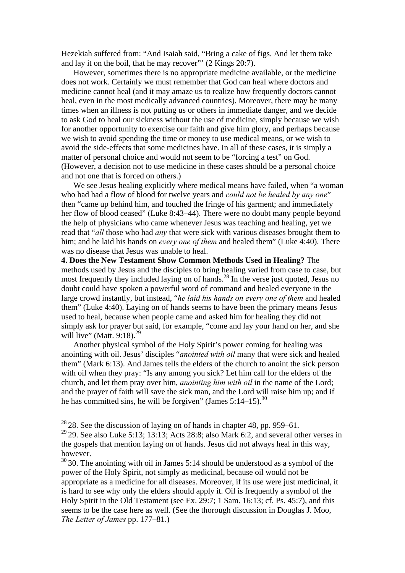Hezekiah suffered from: "And Isaiah said, "Bring a cake of figs. And let them take and lay it on the boil, that he may recover" (2 Kings 20:7).

However, sometimes there is no appropriate medicine available, or the medicine does not work. Certainly we must remember that God can heal where doctors and medicine cannot heal (and it may amaze us to realize how frequently doctors cannot heal, even in the most medically advanced countries). Moreover, there may be many times when an illness is not putting us or others in immediate danger, and we decide to ask God to heal our sickness without the use of medicine, simply because we wish for another opportunity to exercise our faith and give him glory, and perhaps because we wish to avoid spending the time or money to use medical means, or we wish to avoid the side-effects that some medicines have. In all of these cases, it is simply a matter of personal choice and would not seem to be "forcing a test" on God. (However, a decision not to use medicine in these cases should be a personal choice and not one that is forced on others.)

We see Jesus healing explicitly where medical means have failed, when "a woman who had had a flow of blood for twelve years and *could not be healed by any one*" then "came up behind him, and touched the fringe of his garment; and immediately her flow of blood ceased" (Luke 8:43–44). There were no doubt many people beyond the help of physicians who came whenever Jesus was teaching and healing, yet we read that "*all* those who had *any* that were sick with various diseases brought them to him; and he laid his hands on *every one of them* and healed them" (Luke 4:40). There was no disease that Jesus was unable to heal.

**4. Does the New Testament Show Common Methods Used in Healing?** The methods used by Jesus and the disciples to bring healing varied from case to case, but most frequently they included laying on of hands.<sup>28</sup> In the verse just quoted, Jesus no doubt could have spoken a powerful word of command and healed everyone in the large crowd instantly, but instead, "*he laid his hands on every one of them* and healed them" (Luke 4:40). Laying on of hands seems to have been the primary means Jesus used to heal, because when people came and asked him for healing they did not simply ask for prayer but said, for example, "come and lay your hand on her, and she will live" (Matt.  $9:18$ ).<sup>29</sup>

Another physical symbol of the Holy Spirit's power coming for healing was anointing with oil. Jesus' disciples "*anointed with oil* many that were sick and healed them" (Mark 6:13). And James tells the elders of the church to anoint the sick person with oil when they pray: "Is any among you sick? Let him call for the elders of the church, and let them pray over him, *anointing him with oil* in the name of the Lord; and the prayer of faith will save the sick man, and the Lord will raise him up; and if he has committed sins, he will be forgiven" (James  $5:14-15$ ).<sup>30</sup>

 $28$  28. See the discussion of laying on of hands in chapter 48, pp. 959–61.

 $29$  29. See also Luke 5:13; 13:13; Acts 28:8; also Mark 6:2, and several other verses in the gospels that mention laying on of hands. Jesus did not always heal in this way, however.

<sup>&</sup>lt;sup>30</sup> 30. The anointing with oil in James 5:14 should be understood as a symbol of the power of the Holy Spirit, not simply as medicinal, because oil would not be appropriate as a medicine for all diseases. Moreover, if its use were just medicinal, it is hard to see why only the elders should apply it. Oil is frequently a symbol of the Holy Spirit in the Old Testament (see Ex. 29:7; 1 Sam. 16:13; cf. Ps. 45:7), and this seems to be the case here as well. (See the thorough discussion in Douglas J. Moo, *The Letter of James* pp. 177–81.)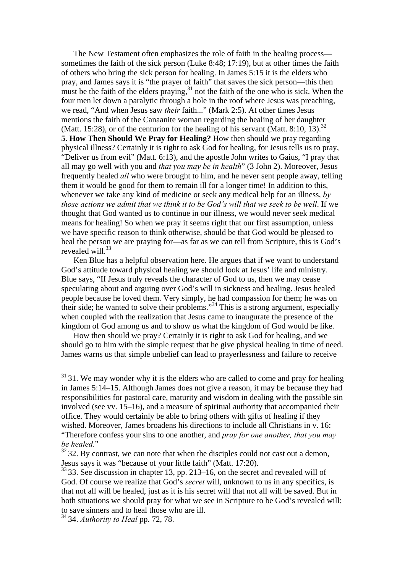The New Testament often emphasizes the role of faith in the healing process sometimes the faith of the sick person (Luke 8:48; 17:19), but at other times the faith of others who bring the sick person for healing. In James 5:15 it is the elders who pray, and James says it is "the prayer of faith" that saves the sick person—this then must be the faith of the elders praying, $31$  not the faith of the one who is sick. When the four men let down a paralytic through a hole in the roof where Jesus was preaching, we read, "And when Jesus saw *their* faith..." (Mark 2:5). At other times Jesus mentions the faith of the Canaanite woman regarding the healing of her daughter (Matt. 15:28), or of the centurion for the healing of his servant (Matt. 8:10, 13).<sup>32</sup> **5. How Then Should We Pray for Healing?** How then should we pray regarding physical illness? Certainly it is right to ask God for healing, for Jesus tells us to pray, "Deliver us from evil" (Matt. 6:13), and the apostle John writes to Gaius, "I pray that all may go well with you and *that you may be in health*" (3 John 2). Moreover, Jesus frequently healed *all* who were brought to him, and he never sent people away, telling them it would be good for them to remain ill for a longer time! In addition to this, whenever we take any kind of medicine or seek any medical help for an illness, *by those actions we admit that we think it to be God's will that we seek to be well*. If we thought that God wanted us to continue in our illness, we would never seek medical means for healing! So when we pray it seems right that our first assumption, unless we have specific reason to think otherwise, should be that God would be pleased to heal the person we are praying for—as far as we can tell from Scripture, this is God's revealed will <sup>33</sup>

Ken Blue has a helpful observation here. He argues that if we want to understand God's attitude toward physical healing we should look at Jesus' life and ministry. Blue says, "If Jesus truly reveals the character of God to us, then we may cease speculating about and arguing over God's will in sickness and healing. Jesus healed people because he loved them. Very simply, he had compassion for them; he was on their side; he wanted to solve their problems."34 This is a strong argument, especially when coupled with the realization that Jesus came to inaugurate the presence of the kingdom of God among us and to show us what the kingdom of God would be like.

How then should we pray? Certainly it is right to ask God for healing, and we should go to him with the simple request that he give physical healing in time of need. James warns us that simple unbelief can lead to prayerlessness and failure to receive

 $31$  31. We may wonder why it is the elders who are called to come and pray for healing in James 5:14–15. Although James does not give a reason, it may be because they had responsibilities for pastoral care, maturity and wisdom in dealing with the possible sin involved (see vv. 15–16), and a measure of spiritual authority that accompanied their office. They would certainly be able to bring others with gifts of healing if they wished. Moreover, James broadens his directions to include all Christians in v. 16: "Therefore confess your sins to one another, and *pray for one another, that you may be healed.*"

 $\frac{32}{32}$  32. By contrast, we can note that when the disciples could not cast out a demon, Jesus says it was "because of your little faith" (Matt. 17:20).

 $33$  33. See discussion in chapter 13, pp. 213–16, on the secret and revealed will of God. Of course we realize that God's *secret* will, unknown to us in any specifics, is that not all will be healed, just as it is his secret will that not all will be saved. But in both situations we should pray for what we see in Scripture to be God's revealed will: to save sinners and to heal those who are ill.

<sup>34 34.</sup> *Authority to Heal* pp. 72, 78.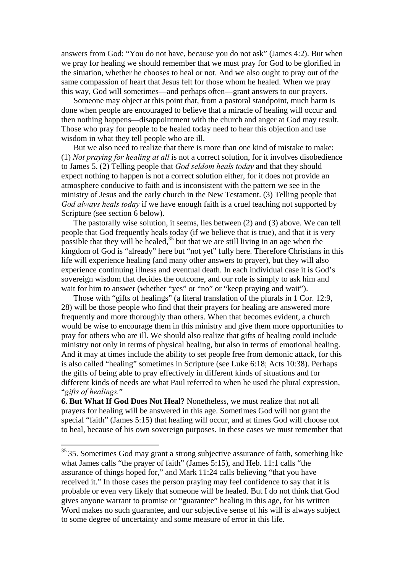answers from God: "You do not have, because you do not ask" (James 4:2). But when we pray for healing we should remember that we must pray for God to be glorified in the situation, whether he chooses to heal or not. And we also ought to pray out of the same compassion of heart that Jesus felt for those whom he healed. When we pray this way, God will sometimes—and perhaps often—grant answers to our prayers.

Someone may object at this point that, from a pastoral standpoint, much harm is done when people are encouraged to believe that a miracle of healing will occur and then nothing happens—disappointment with the church and anger at God may result. Those who pray for people to be healed today need to hear this objection and use wisdom in what they tell people who are ill.

But we also need to realize that there is more than one kind of mistake to make: (1) *Not praying for healing at all* is not a correct solution, for it involves disobedience to James 5. (2) Telling people that *God seldom heals today* and that they should expect nothing to happen is not a correct solution either, for it does not provide an atmosphere conducive to faith and is inconsistent with the pattern we see in the ministry of Jesus and the early church in the New Testament. (3) Telling people that *God always heals today* if we have enough faith is a cruel teaching not supported by Scripture (see section 6 below).

The pastorally wise solution, it seems, lies between (2) and (3) above. We can tell people that God frequently heals today (if we believe that is true), and that it is very possible that they will be healed,<sup>35</sup> but that we are still living in an age when the kingdom of God is "already" here but "not yet" fully here. Therefore Christians in this life will experience healing (and many other answers to prayer), but they will also experience continuing illness and eventual death. In each individual case it is God's sovereign wisdom that decides the outcome, and our role is simply to ask him and wait for him to answer (whether "yes" or "no" or "keep praying and wait").

Those with "gifts of healings" (a literal translation of the plurals in 1 Cor. 12:9, 28) will be those people who find that their prayers for healing are answered more frequently and more thoroughly than others. When that becomes evident, a church would be wise to encourage them in this ministry and give them more opportunities to pray for others who are ill. We should also realize that gifts of healing could include ministry not only in terms of physical healing, but also in terms of emotional healing. And it may at times include the ability to set people free from demonic attack, for this is also called "healing" sometimes in Scripture (see Luke 6:18; Acts 10:38). Perhaps the gifts of being able to pray effectively in different kinds of situations and for different kinds of needs are what Paul referred to when he used the plural expression, "*gifts of healings.*"

**6. But What If God Does Not Heal?** Nonetheless, we must realize that not all prayers for healing will be answered in this age. Sometimes God will not grant the special "faith" (James 5:15) that healing will occur, and at times God will choose not to heal, because of his own sovereign purposes. In these cases we must remember that

 $35$  35. Sometimes God may grant a strong subjective assurance of faith, something like what James calls "the prayer of faith" (James 5:15), and Heb. 11:1 calls "the assurance of things hoped for," and Mark 11:24 calls believing "that you have received it." In those cases the person praying may feel confidence to say that it is probable or even very likely that someone will be healed. But I do not think that God gives anyone warrant to promise or "guarantee" healing in this age, for his written Word makes no such guarantee, and our subjective sense of his will is always subject to some degree of uncertainty and some measure of error in this life.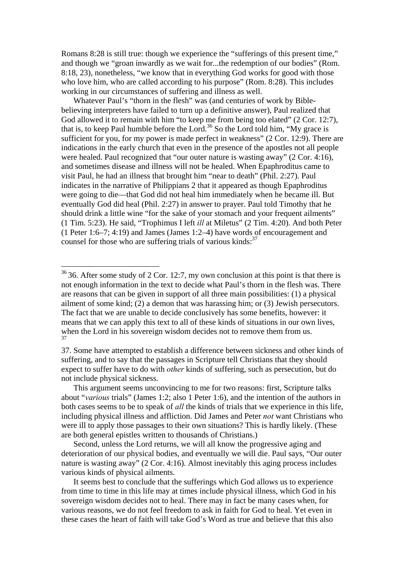Romans 8:28 is still true: though we experience the "sufferings of this present time," and though we "groan inwardly as we wait for...the redemption of our bodies" (Rom. 8:18, 23), nonetheless, "we know that in everything God works for good with those who love him, who are called according to his purpose" (Rom. 8:28). This includes working in our circumstances of suffering and illness as well.

Whatever Paul's "thorn in the flesh" was (and centuries of work by Biblebelieving interpreters have failed to turn up a definitive answer), Paul realized that God allowed it to remain with him "to keep me from being too elated" (2 Cor. 12:7), that is, to keep Paul humble before the Lord.<sup>36</sup> So the Lord told him, "My grace is sufficient for you, for my power is made perfect in weakness" (2 Cor. 12:9). There are indications in the early church that even in the presence of the apostles not all people were healed. Paul recognized that "our outer nature is wasting away" (2 Cor. 4:16), and sometimes disease and illness will not be healed. When Epaphroditus came to visit Paul, he had an illness that brought him "near to death" (Phil. 2:27). Paul indicates in the narrative of Philippians 2 that it appeared as though Epaphroditus were going to die—that God did not heal him immediately when he became ill. But eventually God did heal (Phil. 2:27) in answer to prayer. Paul told Timothy that he should drink a little wine "for the sake of your stomach and your frequent ailments" (1 Tim. 5:23). He said, "Trophimus I left *ill* at Miletus" (2 Tim. 4:20). And both Peter (1 Peter 1:6–7; 4:19) and James (James 1:2–4) have words of encouragement and counsel for those who are suffering trials of various kinds: $37$ 

 $36\,36$ . After some study of 2 Cor. 12:7, my own conclusion at this point is that there is not enough information in the text to decide what Paul's thorn in the flesh was. There are reasons that can be given in support of all three main possibilities: (1) a physical ailment of some kind; (2) a demon that was harassing him; or (3) Jewish persecutors. The fact that we are unable to decide conclusively has some benefits, however: it means that we can apply this text to all of these kinds of situations in our own lives, when the Lord in his sovereign wisdom decides not to remove them from us.  $37$ 

<sup>37.</sup> Some have attempted to establish a difference between sickness and other kinds of suffering, and to say that the passages in Scripture tell Christians that they should expect to suffer have to do with *other* kinds of suffering, such as persecution, but do not include physical sickness.

This argument seems unconvincing to me for two reasons: first, Scripture talks about "*various* trials" (James 1:2; also 1 Peter 1:6), and the intention of the authors in both cases seems to be to speak of *all* the kinds of trials that we experience in this life, including physical illness and affliction. Did James and Peter *not* want Christians who were ill to apply those passages to their own situations? This is hardly likely. (These are both general epistles written to thousands of Christians.)

Second, unless the Lord returns, we will all know the progressive aging and deterioration of our physical bodies, and eventually we will die. Paul says, "Our outer nature is wasting away" (2 Cor. 4:16). Almost inevitably this aging process includes various kinds of physical ailments.

It seems best to conclude that the sufferings which God allows us to experience from time to time in this life may at times include physical illness, which God in his sovereign wisdom decides not to heal. There may in fact be many cases when, for various reasons, we do not feel freedom to ask in faith for God to heal. Yet even in these cases the heart of faith will take God's Word as true and believe that this also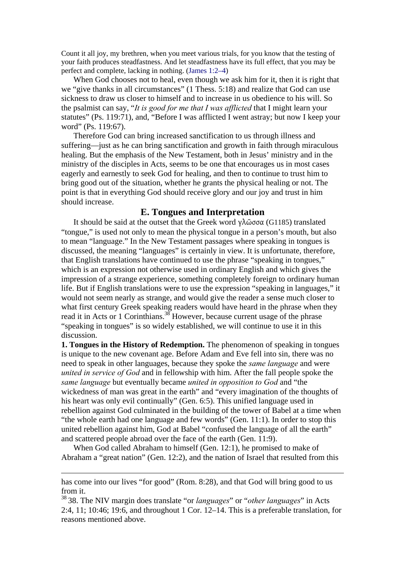Count it all joy, my brethren, when you meet various trials, for you know that the testing of your faith produces steadfastness. And let steadfastness have its full effect, that you may be perfect and complete, lacking in nothing. (James 1:2–4)

When God chooses not to heal, even though we ask him for it, then it is right that we "give thanks in all circumstances" (1 Thess. 5:18) and realize that God can use sickness to draw us closer to himself and to increase in us obedience to his will. So the psalmist can say, "*It is good for me that I was afflicted* that I might learn your statutes" (Ps. 119:71), and, "Before I was afflicted I went astray; but now I keep your word" (Ps. 119:67).

Therefore God can bring increased sanctification to us through illness and suffering—just as he can bring sanctification and growth in faith through miraculous healing. But the emphasis of the New Testament, both in Jesus' ministry and in the ministry of the disciples in Acts, seems to be one that encourages us in most cases eagerly and earnestly to seek God for healing, and then to continue to trust him to bring good out of the situation, whether he grants the physical healing or not. The point is that in everything God should receive glory and our joy and trust in him should increase.

#### **E. Tongues and Interpretation**

It should be said at the outset that the Greek word γλῶσσα (G1185) translated "tongue," is used not only to mean the physical tongue in a person's mouth, but also to mean "language." In the New Testament passages where speaking in tongues is discussed, the meaning "languages" is certainly in view. It is unfortunate, therefore, that English translations have continued to use the phrase "speaking in tongues," which is an expression not otherwise used in ordinary English and which gives the impression of a strange experience, something completely foreign to ordinary human life. But if English translations were to use the expression "speaking in languages," it would not seem nearly as strange, and would give the reader a sense much closer to what first century Greek speaking readers would have heard in the phrase when they read it in Acts or 1 Corinthians.<sup>38</sup> However, because current usage of the phrase "speaking in tongues" is so widely established, we will continue to use it in this discussion.

**1. Tongues in the History of Redemption.** The phenomenon of speaking in tongues is unique to the new covenant age. Before Adam and Eve fell into sin, there was no need to speak in other languages, because they spoke the *same language* and were *united in service of God* and in fellowship with him. After the fall people spoke the *same language* but eventually became *united in opposition to God* and "the wickedness of man was great in the earth" and "every imagination of the thoughts of his heart was only evil continually" (Gen. 6:5). This unified language used in rebellion against God culminated in the building of the tower of Babel at a time when "the whole earth had one language and few words" (Gen. 11:1). In order to stop this united rebellion against him, God at Babel "confused the language of all the earth" and scattered people abroad over the face of the earth (Gen. 11:9).

When God called Abraham to himself (Gen. 12:1), he promised to make of Abraham a "great nation" (Gen. 12:2), and the nation of Israel that resulted from this

has come into our lives "for good" (Rom. 8:28), and that God will bring good to us from it.

<sup>38 38.</sup> The NIV margin does translate "or *languages*" or "*other languages*" in Acts 2:4, 11; 10:46; 19:6, and throughout 1 Cor.  $12-14$ . This is a preferable translation, for reasons mentioned above.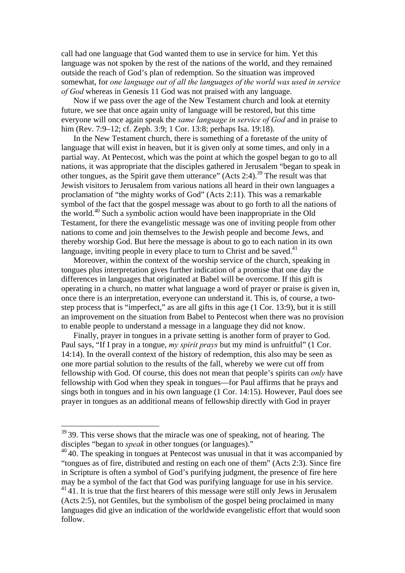call had one language that God wanted them to use in service for him. Yet this language was not spoken by the rest of the nations of the world, and they remained outside the reach of God's plan of redemption. So the situation was improved somewhat, for *one language out of all the languages of the world was used in service of God* whereas in Genesis 11 God was not praised with any language.

Now if we pass over the age of the New Testament church and look at eternity future, we see that once again unity of language will be restored, but this time everyone will once again speak the *same language in service of God* and in praise to him (Rev. 7:9–12; cf. Zeph. 3:9; 1 Cor. 13:8; perhaps Isa. 19:18).

In the New Testament church, there is something of a foretaste of the unity of language that will exist in heaven, but it is given only at some times, and only in a partial way. At Pentecost, which was the point at which the gospel began to go to all nations, it was appropriate that the disciples gathered in Jerusalem "began to speak in other tongues, as the Spirit gave them utterance" (Acts 2:4).<sup>39</sup> The result was that Jewish visitors to Jerusalem from various nations all heard in their own languages a proclamation of "the mighty works of God" (Acts 2:11). This was a remarkable symbol of the fact that the gospel message was about to go forth to all the nations of the world.40 Such a symbolic action would have been inappropriate in the Old Testament, for there the evangelistic message was one of inviting people from other nations to come and join themselves to the Jewish people and become Jews, and thereby worship God. But here the message is about to go to each nation in its own language, inviting people in every place to turn to Christ and be saved. $41$ 

Moreover, within the context of the worship service of the church, speaking in tongues plus interpretation gives further indication of a promise that one day the differences in languages that originated at Babel will be overcome. If this gift is operating in a church, no matter what language a word of prayer or praise is given in, once there is an interpretation, everyone can understand it. This is, of course, a twostep process that is "imperfect," as are all gifts in this age (1 Cor. 13:9), but it is still an improvement on the situation from Babel to Pentecost when there was no provision to enable people to understand a message in a language they did not know.

Finally, prayer in tongues in a private setting is another form of prayer to God. Paul says, "If I pray in a tongue, *my spirit prays* but my mind is unfruitful" (1 Cor. 14:14). In the overall context of the history of redemption, this also may be seen as one more partial solution to the results of the fall, whereby we were cut off from fellowship with God. Of course, this does not mean that people's spirits can *only* have fellowship with God when they speak in tongues—for Paul affirms that he prays and sings both in tongues and in his own language (1 Cor. 14:15). However, Paul does see prayer in tongues as an additional means of fellowship directly with God in prayer

 $39$  39. This verse shows that the miracle was one of speaking, not of hearing. The disciples "began to *speak* in other tongues (or languages)."

<sup>&</sup>lt;sup>40</sup> 40. The speaking in tongues at Pentecost was unusual in that it was accompanied by "tongues as of fire, distributed and resting on each one of them" (Acts 2:3). Since fire in Scripture is often a symbol of God's purifying judgment, the presence of fire here may be a symbol of the fact that God was purifying language for use in his service.

 $41$  41. It is true that the first hearers of this message were still only Jews in Jerusalem (Acts 2:5), not Gentiles, but the symbolism of the gospel being proclaimed in many languages did give an indication of the worldwide evangelistic effort that would soon follow.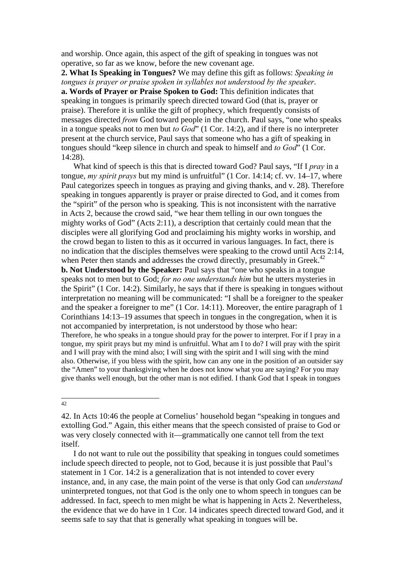and worship. Once again, this aspect of the gift of speaking in tongues was not operative, so far as we know, before the new covenant age.

**2. What Is Speaking in Tongues?** We may define this gift as follows: *Speaking in tongues is prayer or praise spoken in syllables not understood by the speaker*. **a. Words of Prayer or Praise Spoken to God:** This definition indicates that speaking in tongues is primarily speech directed toward God (that is, prayer or praise). Therefore it is unlike the gift of prophecy, which frequently consists of messages directed *from* God toward people in the church. Paul says, "one who speaks in a tongue speaks not to men but *to God*" (1 Cor. 14:2), and if there is no interpreter present at the church service, Paul says that someone who has a gift of speaking in tongues should "keep silence in church and speak to himself and *to God*" (1 Cor. 14:28).

What kind of speech is this that is directed toward God? Paul says, "If I *pray* in a tongue, *my spirit prays* but my mind is unfruitful" (1 Cor. 14:14; cf. vv. 14–17, where Paul categorizes speech in tongues as praying and giving thanks, and v. 28). Therefore speaking in tongues apparently is prayer or praise directed to God, and it comes from the "spirit" of the person who is speaking. This is not inconsistent with the narrative in Acts 2, because the crowd said, "we hear them telling in our own tongues the mighty works of God" (Acts 2:11), a description that certainly could mean that the disciples were all glorifying God and proclaiming his mighty works in worship, and the crowd began to listen to this as it occurred in various languages. In fact, there is no indication that the disciples themselves were speaking to the crowd until Acts 2:14, when Peter then stands and addresses the crowd directly, presumably in Greek.<sup>42</sup> **b. Not Understood by the Speaker:** Paul says that "one who speaks in a tongue speaks not to men but to God; *for no one understands him* but he utters mysteries in the Spirit" (1 Cor. 14:2). Similarly, he says that if there is speaking in tongues without interpretation no meaning will be communicated: "I shall be a foreigner to the speaker and the speaker a foreigner to me" (1 Cor. 14:11). Moreover, the entire paragraph of 1 Corinthians 14:13–19 assumes that speech in tongues in the congregation, when it is not accompanied by interpretation, is not understood by those who hear: Therefore, he who speaks in a tongue should pray for the power to interpret. For if I pray in a tongue, my spirit prays but my mind is unfruitful. What am I to do? I will pray with the spirit and I will pray with the mind also; I will sing with the spirit and I will sing with the mind also. Otherwise, if you bless with the spirit, how can any one in the position of an outsider say the "Amen" to your thanksgiving when he does not know what you are saying? For you may give thanks well enough, but the other man is not edified. I thank God that I speak in tongues

 $\frac{1}{42}$ 

I do not want to rule out the possibility that speaking in tongues could sometimes include speech directed to people, not to God, because it is just possible that Paul's statement in 1 Cor. 14:2 is a generalization that is not intended to cover every instance, and, in any case, the main point of the verse is that only God can *understand* uninterpreted tongues, not that God is the only one to whom speech in tongues can be addressed. In fact, speech to men might be what is happening in Acts 2. Nevertheless, the evidence that we do have in 1 Cor. 14 indicates speech directed toward God, and it seems safe to say that that is generally what speaking in tongues will be.

<sup>42.</sup> In Acts 10:46 the people at Cornelius' household began "speaking in tongues and extolling God." Again, this either means that the speech consisted of praise to God or was very closely connected with it—grammatically one cannot tell from the text itself.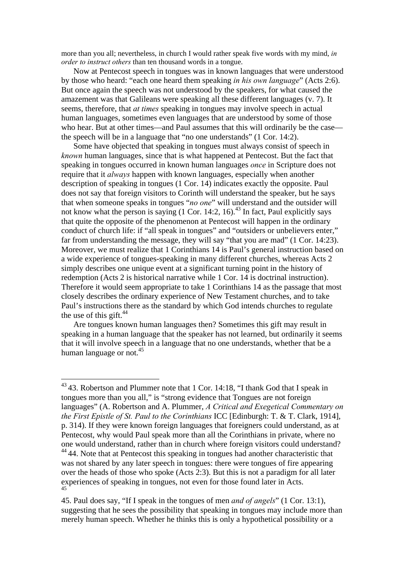more than you all; nevertheless, in church I would rather speak five words with my mind, *in order to instruct others* than ten thousand words in a tongue.

Now at Pentecost speech in tongues was in known languages that were understood by those who heard: "each one heard them speaking *in his own language*" (Acts 2:6). But once again the speech was not understood by the speakers, for what caused the amazement was that Galileans were speaking all these different languages (v. 7). It seems, therefore, that *at times* speaking in tongues may involve speech in actual human languages, sometimes even languages that are understood by some of those who hear. But at other times—and Paul assumes that this will ordinarily be the case the speech will be in a language that "no one understands" (1 Cor. 14:2).

Some have objected that speaking in tongues must always consist of speech in *known* human languages, since that is what happened at Pentecost. But the fact that speaking in tongues occurred in known human languages *once* in Scripture does not require that it *always* happen with known languages, especially when another description of speaking in tongues (1 Cor. 14) indicates exactly the opposite. Paul does not say that foreign visitors to Corinth will understand the speaker, but he says that when someone speaks in tongues "*no one*" will understand and the outsider will not know what the person is saying  $(1 \text{ Cor. } 14:2, 16)$ .<sup>43</sup> In fact, Paul explicitly says that quite the opposite of the phenomenon at Pentecost will happen in the ordinary conduct of church life: if "all speak in tongues" and "outsiders or unbelievers enter," far from understanding the message, they will say "that you are mad" (1 Cor. 14:23). Moreover, we must realize that 1 Corinthians 14 is Paul's general instruction based on a wide experience of tongues-speaking in many different churches, whereas Acts 2 simply describes one unique event at a significant turning point in the history of redemption (Acts 2 is historical narrative while 1 Cor. 14 is doctrinal instruction). Therefore it would seem appropriate to take 1 Corinthians 14 as the passage that most closely describes the ordinary experience of New Testament churches, and to take Paul's instructions there as the standard by which God intends churches to regulate the use of this gift. $44$ 

Are tongues known human languages then? Sometimes this gift may result in speaking in a human language that the speaker has not learned, but ordinarily it seems that it will involve speech in a language that no one understands, whether that be a human language or not. $45$ 

 $43$  43. Robertson and Plummer note that 1 Cor. 14:18, "I thank God that I speak in tongues more than you all," is "strong evidence that Tongues are not foreign languages" (A. Robertson and A. Plummer, *A Critical and Exegetical Commentary on the First Epistle of St. Paul to the Corinthians* ICC [Edinburgh: T. & T. Clark, 1914], p. 314). If they were known foreign languages that foreigners could understand, as at Pentecost, why would Paul speak more than all the Corinthians in private, where no one would understand, rather than in church where foreign visitors could understand? <sup>44</sup> 44. Note that at Pentecost this speaking in tongues had another characteristic that was not shared by any later speech in tongues: there were tongues of fire appearing over the heads of those who spoke (Acts 2:3). But this is not a paradigm for all later experiences of speaking in tongues, not even for those found later in Acts. 45

<sup>45.</sup> Paul does say, "If I speak in the tongues of men *and of angels*" (1 Cor. 13:1), suggesting that he sees the possibility that speaking in tongues may include more than merely human speech. Whether he thinks this is only a hypothetical possibility or a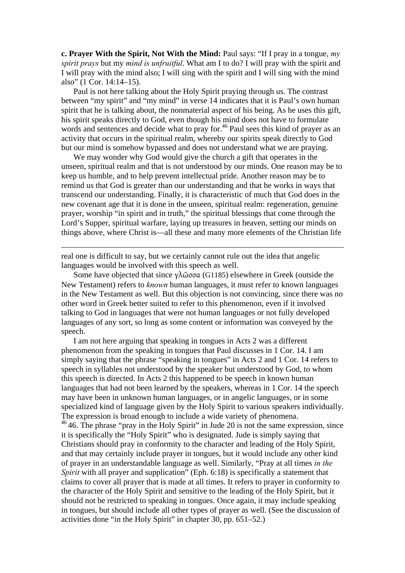**c. Prayer With the Spirit, Not With the Mind:** Paul says: "If I pray in a tongue, *my spirit prays* but my *mind is unfruitful*. What am I to do? I will pray with the spirit and I will pray with the mind also; I will sing with the spirit and I will sing with the mind also" (1 Cor. 14:14–15).

Paul is not here talking about the Holy Spirit praying through us. The contrast between "my spirit" and "my mind" in verse 14 indicates that it is Paul's own human spirit that he is talking about, the nonmaterial aspect of his being. As he uses this gift, his spirit speaks directly to God, even though his mind does not have to formulate words and sentences and decide what to pray for.<sup>46</sup> Paul sees this kind of prayer as an activity that occurs in the spiritual realm, whereby our spirits speak directly to God but our mind is somehow bypassed and does not understand what we are praying.

We may wonder why God would give the church a gift that operates in the unseen, spiritual realm and that is not understood by our minds. One reason may be to keep us humble, and to help prevent intellectual pride. Another reason may be to remind us that God is greater than our understanding and that he works in ways that transcend our understanding. Finally, it is characteristic of much that God does in the new covenant age that it is done in the unseen, spiritual realm: regeneration, genuine prayer, worship "in spirit and in truth," the spiritual blessings that come through the Lord's Supper, spiritual warfare, laying up treasures in heaven, setting our minds on things above, where Christ is—all these and many more elements of the Christian life

real one is difficult to say, but we certainly cannot rule out the idea that angelic languages would be involved with this speech as well.

 $\overline{a}$ 

Some have objected that since γλῶσσα (G1185) elsewhere in Greek (outside the New Testament) refers to *known* human languages, it must refer to known languages in the New Testament as well. But this objection is not convincing, since there was no other word in Greek better suited to refer to this phenomenon, even if it involved talking to God in languages that were not human languages or not fully developed languages of any sort, so long as some content or information was conveyed by the speech.

I am not here arguing that speaking in tongues in Acts 2 was a different phenomenon from the speaking in tongues that Paul discusses in 1 Cor. 14. I am simply saying that the phrase "speaking in tongues" in Acts 2 and 1 Cor. 14 refers to speech in syllables not understood by the speaker but understood by God, to whom this speech is directed. In Acts 2 this happened to be speech in known human languages that had not been learned by the speakers, whereas in 1 Cor. 14 the speech may have been in unknown human languages, or in angelic languages, or in some specialized kind of language given by the Holy Spirit to various speakers individually. The expression is broad enough to include a wide variety of phenomena.

<sup>46</sup> 46. The phrase "pray in the Holy Spirit" in Jude 20 is not the same expression, since it is specifically the "Holy Spirit" who is designated. Jude is simply saying that Christians should pray in conformity to the character and leading of the Holy Spirit, and that may certainly include prayer in tongues, but it would include any other kind of prayer in an understandable language as well. Similarly, "Pray at all times *in the Spirit* with all prayer and supplication" (Eph. 6:18) is specifically a statement that claims to cover all prayer that is made at all times. It refers to prayer in conformity to the character of the Holy Spirit and sensitive to the leading of the Holy Spirit, but it should not be restricted to speaking in tongues. Once again, it may include speaking in tongues, but should include all other types of prayer as well. (See the discussion of activities done "in the Holy Spirit" in chapter 30, pp. 651–52.)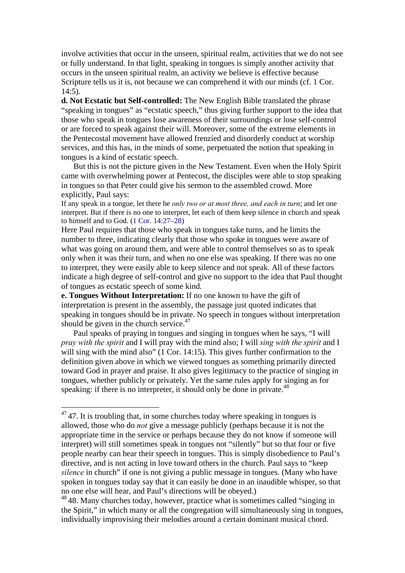involve activities that occur in the unseen, spiritual realm, activities that we do not see or fully understand. In that light, speaking in tongues is simply another activity that occurs in the unseen spiritual realm, an activity we believe is effective because Scripture tells us it is, not because we can comprehend it with our minds (cf. 1 Cor. 14:5).

**d. Not Ecstatic but Self-controlled:** The New English Bible translated the phrase "speaking in tongues" as "ecstatic speech," thus giving further support to the idea that those who speak in tongues lose awareness of their surroundings or lose self-control or are forced to speak against their will. Moreover, some of the extreme elements in the Pentecostal movement have allowed frenzied and disorderly conduct at worship services, and this has, in the minds of some, perpetuated the notion that speaking in tongues is a kind of ecstatic speech.

But this is not the picture given in the New Testament. Even when the Holy Spirit came with overwhelming power at Pentecost, the disciples were able to stop speaking in tongues so that Peter could give his sermon to the assembled crowd. More explicitly, Paul says:

If any speak in a tongue, let there be *only two or at most three, and each in turn*; and let one interpret. But if there is no one to interpret, let each of them keep silence in church and speak to himself and to God. (1 Cor. 14:27–28)

Here Paul requires that those who speak in tongues take turns, and he limits the number to three, indicating clearly that those who spoke in tongues were aware of what was going on around them, and were able to control themselves so as to speak only when it was their turn, and when no one else was speaking. If there was no one to interpret, they were easily able to keep silence and not speak. All of these factors indicate a high degree of self-control and give no support to the idea that Paul thought of tongues as ecstatic speech of some kind.

**e. Tongues Without Interpretation:** If no one known to have the gift of interpretation is present in the assembly, the passage just quoted indicates that speaking in tongues should be in private. No speech in tongues without interpretation should be given in the church service. $47$ 

Paul speaks of praying in tongues and singing in tongues when he says, "I will *pray with the spirit* and I will pray with the mind also; I will *sing with the spirit* and I will sing with the mind also" (1 Cor. 14:15). This gives further confirmation to the definition given above in which we viewed tongues as something primarily directed toward God in prayer and praise. It also gives legitimacy to the practice of singing in tongues, whether publicly or privately. Yet the same rules apply for singing as for speaking: if there is no interpreter, it should only be done in private.<sup>48</sup>

 $47$  47. It is troubling that, in some churches today where speaking in tongues is allowed, those who do *not* give a message publicly (perhaps because it is not the appropriate time in the service or perhaps because they do not know if someone will interpret) will still sometimes speak in tongues not "silently" but so that four or five people nearby can hear their speech in tongues. This is simply disobedience to Paul's directive, and is not acting in love toward others in the church. Paul says to "keep *silence* in church" if one is not giving a public message in tongues. (Many who have spoken in tongues today say that it can easily be done in an inaudible whisper, so that no one else will hear, and Paul's directions will be obeyed.)

 $48-48$ . Many churches today, however, practice what is sometimes called "singing in the Spirit," in which many or all the congregation will simultaneously sing in tongues, individually improvising their melodies around a certain dominant musical chord.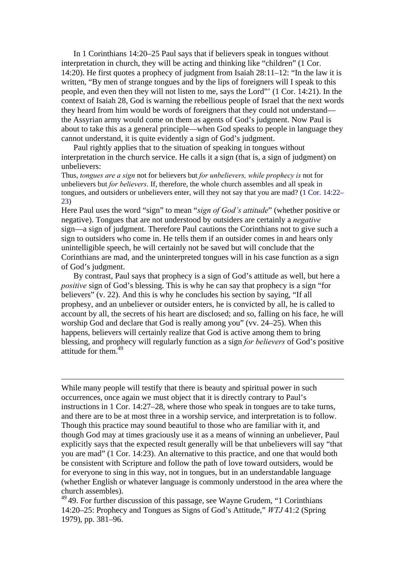In 1 Corinthians 14:20–25 Paul says that if believers speak in tongues without interpretation in church, they will be acting and thinking like "children" (1 Cor. 14:20). He first quotes a prophecy of judgment from Isaiah 28:11–12: "In the law it is written, "By men of strange tongues and by the lips of foreigners will I speak to this people, and even then they will not listen to me, says the Lord"' (1 Cor. 14:21). In the context of Isaiah 28, God is warning the rebellious people of Israel that the next words they heard from him would be words of foreigners that they could not understand the Assyrian army would come on them as agents of God's judgment. Now Paul is about to take this as a general principle—when God speaks to people in language they cannot understand, it is quite evidently a sign of God's judgment.

Paul rightly applies that to the situation of speaking in tongues without interpretation in the church service. He calls it a sign (that is, a sign of judgment) on unbelievers:

Thus, *tongues are a sign* not for believers but *for unbelievers, while prophecy is* not for unbelievers but *for believers*. If, therefore, the whole church assembles and all speak in tongues, and outsiders or unbelievers enter, will they not say that you are mad? (1 Cor. 14:22– 23)

Here Paul uses the word "sign" to mean "*sign of God's attitude*" (whether positive or negative). Tongues that are not understood by outsiders are certainly a *negative* sign—a sign of judgment. Therefore Paul cautions the Corinthians not to give such a sign to outsiders who come in. He tells them if an outsider comes in and hears only unintelligible speech, he will certainly not be saved but will conclude that the Corinthians are mad, and the uninterpreted tongues will in his case function as a sign of God's judgment.

By contrast, Paul says that prophecy is a sign of God's attitude as well, but here a *positive* sign of God's blessing. This is why he can say that prophecy is a sign "for believers" (v. 22). And this is why he concludes his section by saying, "If all prophesy, and an unbeliever or outsider enters, he is convicted by all, he is called to account by all, the secrets of his heart are disclosed; and so, falling on his face, he will worship God and declare that God is really among you" (vv. 24–25). When this happens, believers will certainly realize that God is active among them to bring blessing, and prophecy will regularly function as a sign *for believers* of God's positive attitude for them.<sup>49</sup>

While many people will testify that there is beauty and spiritual power in such occurrences, once again we must object that it is directly contrary to Paul's instructions in 1 Cor. 14:27–28, where those who speak in tongues are to take turns, and there are to be at most three in a worship service, and interpretation is to follow. Though this practice may sound beautiful to those who are familiar with it, and though God may at times graciously use it as a means of winning an unbeliever, Paul explicitly says that the expected result generally will be that unbelievers will say "that you are mad" (1 Cor. 14:23). An alternative to this practice, and one that would both be consistent with Scripture and follow the path of love toward outsiders, would be for everyone to sing in this way, not in tongues, but in an understandable language (whether English or whatever language is commonly understood in the area where the church assembles).

 $\overline{a}$ 

 $49$  49. For further discussion of this passage, see Wayne Grudem, "1 Corinthians" 14:20–25: Prophecy and Tongues as Signs of God's Attitude," *WTJ* 41:2 (Spring 1979), pp. 381–96.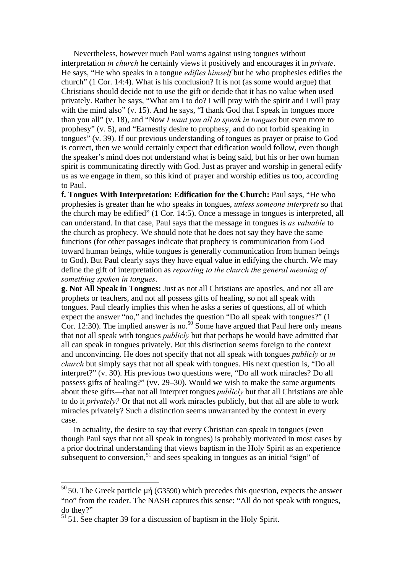Nevertheless, however much Paul warns against using tongues without interpretation *in church* he certainly views it positively and encourages it in *private*. He says, "He who speaks in a tongue *edifies himself* but he who prophesies edifies the church" (1 Cor. 14:4). What is his conclusion? It is not (as some would argue) that Christians should decide not to use the gift or decide that it has no value when used privately. Rather he says, "What am I to do? I will pray with the spirit and I will pray with the mind also" (v. 15). And he says, "I thank God that I speak in tongues more than you all" (v. 18), and "Now *I want you all to speak in tongues* but even more to prophesy" (v. 5), and "Earnestly desire to prophesy, and do not forbid speaking in tongues" (v. 39). If our previous understanding of tongues as prayer or praise to God is correct, then we would certainly expect that edification would follow, even though the speaker's mind does not understand what is being said, but his or her own human spirit is communicating directly with God. Just as prayer and worship in general edify us as we engage in them, so this kind of prayer and worship edifies us too, according to Paul.

**f. Tongues With Interpretation: Edification for the Church:** Paul says, "He who prophesies is greater than he who speaks in tongues, *unless someone interprets* so that the church may be edified" (1 Cor. 14:5). Once a message in tongues is interpreted, all can understand. In that case, Paul says that the message in tongues is *as valuable* to the church as prophecy. We should note that he does not say they have the same functions (for other passages indicate that prophecy is communication from God toward human beings, while tongues is generally communication from human beings to God). But Paul clearly says they have equal value in edifying the church. We may define the gift of interpretation as *reporting to the church the general meaning of something spoken in tongues*.

**g. Not All Speak in Tongues:** Just as not all Christians are apostles, and not all are prophets or teachers, and not all possess gifts of healing, so not all speak with tongues. Paul clearly implies this when he asks a series of questions, all of which expect the answer "no," and includes the question "Do all speak with tongues?" (1 Cor. 12:30). The implied answer is no.<sup>50</sup> Some have argued that Paul here only means that not all speak with tongues *publicly* but that perhaps he would have admitted that all can speak in tongues privately. But this distinction seems foreign to the context and unconvincing. He does not specify that not all speak with tongues *publicly* or *in church* but simply says that not all speak with tongues. His next question is, "Do all interpret?" (v. 30). His previous two questions were, "Do all work miracles? Do all possess gifts of healing?" (vv. 29–30). Would we wish to make the same arguments about these gifts—that not all interpret tongues *publicly* but that all Christians are able to do it *privately?* Or that not all work miracles publicly, but that all are able to work miracles privately? Such a distinction seems unwarranted by the context in every case.

In actuality, the desire to say that every Christian can speak in tongues (even though Paul says that not all speak in tongues) is probably motivated in most cases by a prior doctrinal understanding that views baptism in the Holy Spirit as an experience subsequent to conversion,  $51$  and sees speaking in tongues as an initial "sign" of

 $50$  50. The Greek particle μή (G3590) which precedes this question, expects the answer "no" from the reader. The NASB captures this sense: "All do not speak with tongues, do they?"

 $51$  51. See chapter 39 for a discussion of baptism in the Holy Spirit.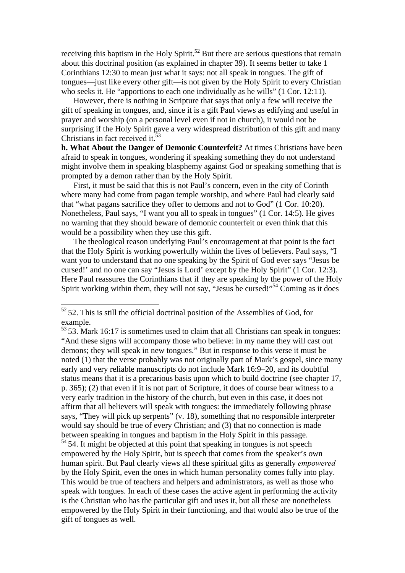receiving this baptism in the Holy Spirit.<sup>52</sup> But there are serious questions that remain about this doctrinal position (as explained in chapter 39). It seems better to take 1 Corinthians 12:30 to mean just what it says: not all speak in tongues. The gift of tongues—just like every other gift—is not given by the Holy Spirit to every Christian who seeks it. He "apportions to each one individually as he wills" (1 Cor. 12:11).

However, there is nothing in Scripture that says that only a few will receive the gift of speaking in tongues, and, since it is a gift Paul views as edifying and useful in prayer and worship (on a personal level even if not in church), it would not be surprising if the Holy Spirit gave a very widespread distribution of this gift and many Christians in fact received it.<sup>53</sup>

**h. What About the Danger of Demonic Counterfeit?** At times Christians have been afraid to speak in tongues, wondering if speaking something they do not understand might involve them in speaking blasphemy against God or speaking something that is prompted by a demon rather than by the Holy Spirit.

First, it must be said that this is not Paul's concern, even in the city of Corinth where many had come from pagan temple worship, and where Paul had clearly said that "what pagans sacrifice they offer to demons and not to God" (1 Cor. 10:20). Nonetheless, Paul says, "I want you all to speak in tongues" (1 Cor. 14:5). He gives no warning that they should beware of demonic counterfeit or even think that this would be a possibility when they use this gift.

The theological reason underlying Paul's encouragement at that point is the fact that the Holy Spirit is working powerfully within the lives of believers. Paul says, "I want you to understand that no one speaking by the Spirit of God ever says "Jesus be cursed!' and no one can say "Jesus is Lord' except by the Holy Spirit" (1 Cor. 12:3). Here Paul reassures the Corinthians that if they are speaking by the power of the Holy Spirit working within them, they will not say, "Jesus be cursed!"<sup>54</sup> Coming as it does

 $\overline{a}$ 

This would be true of teachers and helpers and administrators, as well as those who speak with tongues. In each of these cases the active agent in performing the activity is the Christian who has the particular gift and uses it, but all these are nonetheless empowered by the Holy Spirit in their functioning, and that would also be true of the gift of tongues as well.

 $52$  52. This is still the official doctrinal position of the Assemblies of God, for example.

 $53\overline{53}$ . Mark 16:17 is sometimes used to claim that all Christians can speak in tongues: "And these signs will accompany those who believe: in my name they will cast out demons; they will speak in new tongues." But in response to this verse it must be noted (1) that the verse probably was not originally part of Mark's gospel, since many early and very reliable manuscripts do not include Mark 16:9–20, and its doubtful status means that it is a precarious basis upon which to build doctrine (see chapter 17, p. 365); (2) that even if it is not part of Scripture, it does of course bear witness to a very early tradition in the history of the church, but even in this case, it does not affirm that all believers will speak with tongues: the immediately following phrase says, "They will pick up serpents" (v. 18), something that no responsible interpreter would say should be true of every Christian; and (3) that no connection is made between speaking in tongues and baptism in the Holy Spirit in this passage.  $54$  54. It might be objected at this point that speaking in tongues is not speech empowered by the Holy Spirit, but is speech that comes from the speaker's own human spirit. But Paul clearly views all these spiritual gifts as generally *empowered* by the Holy Spirit, even the ones in which human personality comes fully into play.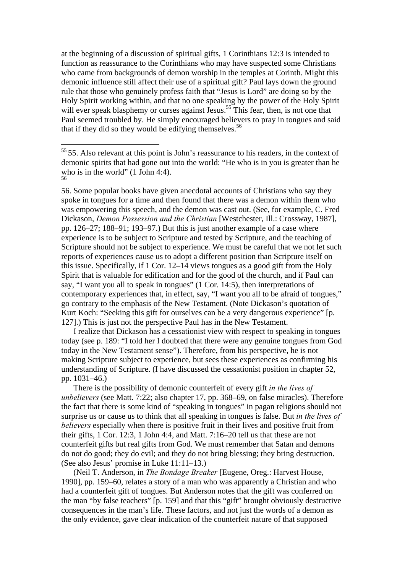at the beginning of a discussion of spiritual gifts, 1 Corinthians 12:3 is intended to function as reassurance to the Corinthians who may have suspected some Christians who came from backgrounds of demon worship in the temples at Corinth. Might this demonic influence still affect their use of a spiritual gift? Paul lays down the ground rule that those who genuinely profess faith that "Jesus is Lord" are doing so by the Holy Spirit working within, and that no one speaking by the power of the Holy Spirit will ever speak blasphemy or curses against Jesus.<sup>55</sup> This fear, then, is not one that Paul seemed troubled by. He simply encouraged believers to pray in tongues and said that if they did so they would be edifying themselves.<sup>56</sup>

 $\overline{a}$ 

56. Some popular books have given anecdotal accounts of Christians who say they spoke in tongues for a time and then found that there was a demon within them who was empowering this speech, and the demon was cast out. (See, for example, C. Fred Dickason, *Demon Possession and the Christian* [Westchester, Ill.: Crossway, 1987], pp. 126–27; 188–91; 193–97.) But this is just another example of a case where experience is to be subject to Scripture and tested by Scripture, and the teaching of Scripture should not be subject to experience. We must be careful that we not let such reports of experiences cause us to adopt a different position than Scripture itself on this issue. Specifically, if 1 Cor. 12–14 views tongues as a good gift from the Holy Spirit that is valuable for edification and for the good of the church, and if Paul can say, "I want you all to speak in tongues" (1 Cor. 14:5), then interpretations of contemporary experiences that, in effect, say, "I want you all to be afraid of tongues," go contrary to the emphasis of the New Testament. (Note Dickason's quotation of Kurt Koch: "Seeking this gift for ourselves can be a very dangerous experience" [p. 127].) This is just not the perspective Paul has in the New Testament.

I realize that Dickason has a cessationist view with respect to speaking in tongues today (see p. 189: "I told her I doubted that there were any genuine tongues from God today in the New Testament sense"). Therefore, from his perspective, he is not making Scripture subject to experience, but sees these experiences as confirming his understanding of Scripture. (I have discussed the cessationist position in chapter 52, pp. 1031–46.)

There is the possibility of demonic counterfeit of every gift *in the lives of unbelievers* (see Matt. 7:22; also chapter 17, pp. 368–69, on false miracles). Therefore the fact that there is some kind of "speaking in tongues" in pagan religions should not surprise us or cause us to think that all speaking in tongues is false. But *in the lives of believers* especially when there is positive fruit in their lives and positive fruit from their gifts, 1 Cor. 12:3, 1 John 4:4, and Matt. 7:16–20 tell us that these are not counterfeit gifts but real gifts from God. We must remember that Satan and demons do not do good; they do evil; and they do not bring blessing; they bring destruction. (See also Jesus' promise in Luke 11:11–13.)

(Neil T. Anderson, in *The Bondage Breaker* [Eugene, Oreg.: Harvest House, 1990], pp. 159–60, relates a story of a man who was apparently a Christian and who had a counterfeit gift of tongues. But Anderson notes that the gift was conferred on the man "by false teachers" [p. 159] and that this "gift" brought obviously destructive consequences in the man's life. These factors, and not just the words of a demon as the only evidence, gave clear indication of the counterfeit nature of that supposed

 $55$  55. Also relevant at this point is John's reassurance to his readers, in the context of demonic spirits that had gone out into the world: "He who is in you is greater than he who is in the world" (1 John 4:4). 56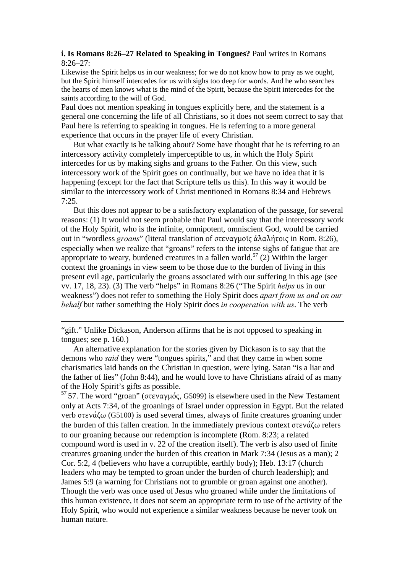#### **i. Is Romans 8:26–27 Related to Speaking in Tongues?** Paul writes in Romans  $8:26 - 27$ :

Likewise the Spirit helps us in our weakness; for we do not know how to pray as we ought, but the Spirit himself intercedes for us with sighs too deep for words. And he who searches the hearts of men knows what is the mind of the Spirit, because the Spirit intercedes for the saints according to the will of God.

Paul does not mention speaking in tongues explicitly here, and the statement is a general one concerning the life of all Christians, so it does not seem correct to say that Paul here is referring to speaking in tongues. He is referring to a more general experience that occurs in the prayer life of every Christian.

But what exactly is he talking about? Some have thought that he is referring to an intercessory activity completely imperceptible to us, in which the Holy Spirit intercedes for us by making sighs and groans to the Father. On this view, such intercessory work of the Spirit goes on continually, but we have no idea that it is happening (except for the fact that Scripture tells us this). In this way it would be similar to the intercessory work of Christ mentioned in Romans 8:34 and Hebrews 7:25.

But this does not appear to be a satisfactory explanation of the passage, for several reasons: (1) It would not seem probable that Paul would say that the intercessory work of the Holy Spirit, who is the infinite, omnipotent, omniscient God, would be carried out in "wordless *groans*" (literal translation of στεναγμοῖς ἀλαλήτοις in Rom. 8:26), especially when we realize that "groans" refers to the intense sighs of fatigue that are appropriate to weary, burdened creatures in a fallen world.<sup>57</sup> (2) Within the larger context the groanings in view seem to be those due to the burden of living in this present evil age, particularly the groans associated with our suffering in this age (see vv. 17, 18, 23). (3) The verb "helps" in Romans 8:26 ("The Spirit *helps* us in our weakness") does not refer to something the Holy Spirit does *apart from us and on our behalf* but rather something the Holy Spirit does *in cooperation with us*. The verb

"gift." Unlike Dickason, Anderson affirms that he is not opposed to speaking in tongues; see p. 160.)

 $\overline{a}$ 

An alternative explanation for the stories given by Dickason is to say that the demons who *said* they were "tongues spirits," and that they came in when some charismatics laid hands on the Christian in question, were lying. Satan "is a liar and the father of lies" (John 8:44), and he would love to have Christians afraid of as many of the Holy Spirit's gifts as possible.

<sup>57</sup> 57. The word "groan" (στεναγμός, G5099) is elsewhere used in the New Testament only at Acts 7:34, of the groanings of Israel under oppression in Egypt. But the related verb στενάζω (G5100) is used several times, always of finite creatures groaning under the burden of this fallen creation. In the immediately previous context στενάζω refers to our groaning because our redemption is incomplete (Rom. 8:23; a related compound word is used in v. 22 of the creation itself). The verb is also used of finite creatures groaning under the burden of this creation in Mark 7:34 (Jesus as a man); 2 Cor. 5:2, 4 (believers who have a corruptible, earthly body); Heb. 13:17 (church leaders who may be tempted to groan under the burden of church leadership); and James 5:9 (a warning for Christians not to grumble or groan against one another). Though the verb was once used of Jesus who groaned while under the limitations of this human existence, it does not seem an appropriate term to use of the activity of the Holy Spirit, who would not experience a similar weakness because he never took on human nature.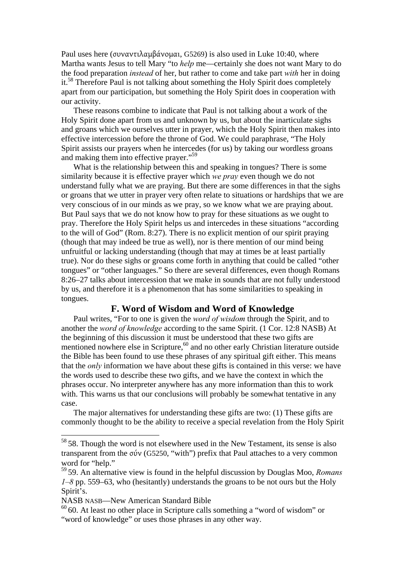Paul uses here (συναντιλαμβάνομαι, G5269) is also used in Luke 10:40, where Martha wants Jesus to tell Mary "to *help* me—certainly she does not want Mary to do the food preparation *instead* of her, but rather to come and take part *with* her in doing it.58 Therefore Paul is not talking about something the Holy Spirit does completely apart from our participation, but something the Holy Spirit does in cooperation with our activity.

These reasons combine to indicate that Paul is not talking about a work of the Holy Spirit done apart from us and unknown by us, but about the inarticulate sighs and groans which we ourselves utter in prayer, which the Holy Spirit then makes into effective intercession before the throne of God. We could paraphrase, "The Holy Spirit assists our prayers when he intercedes (for us) by taking our wordless groans and making them into effective prayer."59

What is the relationship between this and speaking in tongues? There is some similarity because it is effective prayer which *we pray* even though we do not understand fully what we are praying. But there are some differences in that the sighs or groans that we utter in prayer very often relate to situations or hardships that we are very conscious of in our minds as we pray, so we know what we are praying about. But Paul says that we do not know how to pray for these situations as we ought to pray. Therefore the Holy Spirit helps us and intercedes in these situations "according to the will of God" (Rom. 8:27). There is no explicit mention of our spirit praying (though that may indeed be true as well), nor is there mention of our mind being unfruitful or lacking understanding (though that may at times be at least partially true). Nor do these sighs or groans come forth in anything that could be called "other tongues" or "other languages." So there are several differences, even though Romans 8:26–27 talks about intercession that we make in sounds that are not fully understood by us, and therefore it is a phenomenon that has some similarities to speaking in tongues.

## **F. Word of Wisdom and Word of Knowledge**

Paul writes, "For to one is given the *word of wisdom* through the Spirit, and to another the *word of knowledge* according to the same Spirit. (1 Cor. 12:8 NASB) At the beginning of this discussion it must be understood that these two gifts are mentioned nowhere else in Scripture, $60$  and no other early Christian literature outside the Bible has been found to use these phrases of any spiritual gift either. This means that the *only* information we have about these gifts is contained in this verse: we have the words used to describe these two gifts, and we have the context in which the phrases occur. No interpreter anywhere has any more information than this to work with. This warns us that our conclusions will probably be somewhat tentative in any case.

The major alternatives for understanding these gifts are two: (1) These gifts are commonly thought to be the ability to receive a special revelation from the Holy Spirit

<sup>&</sup>lt;sup>58</sup> 58. Though the word is not elsewhere used in the New Testament, its sense is also transparent from the σύν (G5250, "with") prefix that Paul attaches to a very common word for "help."

<sup>59 59.</sup> An alternative view is found in the helpful discussion by Douglas Moo, *Romans 1–8* pp. 559–63, who (hesitantly) understands the groans to be not ours but the Holy Spirit's.

NASB NASB—New American Standard Bible

 $60$  60. At least no other place in Scripture calls something a "word of wisdom" or "word of knowledge" or uses those phrases in any other way.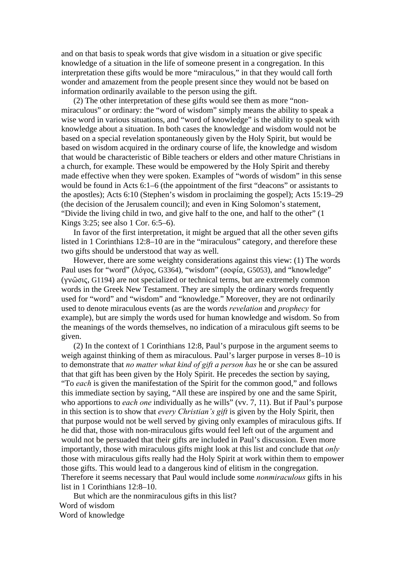and on that basis to speak words that give wisdom in a situation or give specific knowledge of a situation in the life of someone present in a congregation. In this interpretation these gifts would be more "miraculous," in that they would call forth wonder and amazement from the people present since they would not be based on information ordinarily available to the person using the gift.

(2) The other interpretation of these gifts would see them as more "nonmiraculous" or ordinary: the "word of wisdom" simply means the ability to speak a wise word in various situations, and "word of knowledge" is the ability to speak with knowledge about a situation. In both cases the knowledge and wisdom would not be based on a special revelation spontaneously given by the Holy Spirit, but would be based on wisdom acquired in the ordinary course of life, the knowledge and wisdom that would be characteristic of Bible teachers or elders and other mature Christians in a church, for example. These would be empowered by the Holy Spirit and thereby made effective when they were spoken. Examples of "words of wisdom" in this sense would be found in Acts 6:1–6 (the appointment of the first "deacons" or assistants to the apostles); Acts 6:10 (Stephen's wisdom in proclaiming the gospel); Acts 15:19–29 (the decision of the Jerusalem council); and even in King Solomon's statement, "Divide the living child in two, and give half to the one, and half to the other" (1 Kings 3:25; see also 1 Cor. 6:5–6).

In favor of the first interpretation, it might be argued that all the other seven gifts listed in 1 Corinthians 12:8–10 are in the "miraculous" category, and therefore these two gifts should be understood that way as well.

However, there are some weighty considerations against this view: (1) The words Paul uses for "word" (λόγος, G3364), "wisdom" (σοφία, G5053), and "knowledge" (γνῶσις, G1194) are not specialized or technical terms, but are extremely common words in the Greek New Testament. They are simply the ordinary words frequently used for "word" and "wisdom" and "knowledge." Moreover, they are not ordinarily used to denote miraculous events (as are the words *revelation* and *prophecy* for example), but are simply the words used for human knowledge and wisdom. So from the meanings of the words themselves, no indication of a miraculous gift seems to be given.

(2) In the context of 1 Corinthians 12:8, Paul's purpose in the argument seems to weigh against thinking of them as miraculous. Paul's larger purpose in verses 8–10 is to demonstrate that *no matter what kind of gift a person has* he or she can be assured that that gift has been given by the Holy Spirit. He precedes the section by saying, "To *each* is given the manifestation of the Spirit for the common good," and follows this immediate section by saying, "All these are inspired by one and the same Spirit, who apportions to *each one* individually as he wills" (vv. 7, 11). But if Paul's purpose in this section is to show that *every Christian's gift* is given by the Holy Spirit, then that purpose would not be well served by giving only examples of miraculous gifts. If he did that, those with non-miraculous gifts would feel left out of the argument and would not be persuaded that their gifts are included in Paul's discussion. Even more importantly, those with miraculous gifts might look at this list and conclude that *only* those with miraculous gifts really had the Holy Spirit at work within them to empower those gifts. This would lead to a dangerous kind of elitism in the congregation. Therefore it seems necessary that Paul would include some *nonmiraculous* gifts in his list in 1 Corinthians 12:8–10.

But which are the nonmiraculous gifts in this list? Word of wisdom Word of knowledge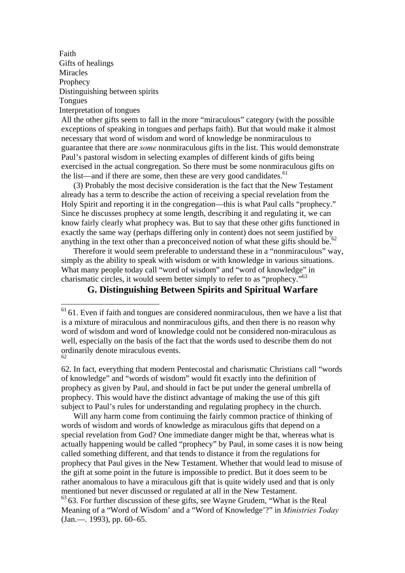Faith Gifts of healings **Miracles Prophecy**  Distinguishing between spirits Tongues Interpretation of tongues

 $\overline{a}$ 

All the other gifts seem to fall in the more "miraculous" category (with the possible exceptions of speaking in tongues and perhaps faith). But that would make it almost necessary that word of wisdom and word of knowledge be nonmiraculous to guarantee that there are *some* nonmiraculous gifts in the list. This would demonstrate Paul's pastoral wisdom in selecting examples of different kinds of gifts being exercised in the actual congregation. So there must be some nonmiraculous gifts on the list—and if there are some, then these are very good candidates. $61$ 

(3) Probably the most decisive consideration is the fact that the New Testament already has a term to describe the action of receiving a special revelation from the Holy Spirit and reporting it in the congregation—this is what Paul calls "prophecy." Since he discusses prophecy at some length, describing it and regulating it, we can know fairly clearly what prophecy was. But to say that these other gifts functioned in exactly the same way (perhaps differing only in content) does not seem justified by anything in the text other than a preconceived notion of what these gifts should be.<sup>62</sup>

Therefore it would seem preferable to understand these in a "nonmiraculous" way, simply as the ability to speak with wisdom or with knowledge in various situations. What many people today call "word of wisdom" and "word of knowledge" in charismatic circles, it would seem better simply to refer to as "prophecy."<sup>63</sup>

## **G. Distinguishing Between Spirits and Spiritual Warfare**

62. In fact, everything that modern Pentecostal and charismatic Christians call "words of knowledge" and "words of wisdom" would fit exactly into the definition of prophecy as given by Paul, and should in fact be put under the general umbrella of prophecy. This would have the distinct advantage of making the use of this gift subject to Paul's rules for understanding and regulating prophecy in the church.

Will any harm come from continuing the fairly common practice of thinking of words of wisdom and words of knowledge as miraculous gifts that depend on a special revelation from God? One immediate danger might be that, whereas what is actually happening would be called "prophecy" by Paul, in some cases it is now being called something different, and that tends to distance it from the regulations for prophecy that Paul gives in the New Testament. Whether that would lead to misuse of the gift at some point in the future is impossible to predict. But it does seem to be rather anomalous to have a miraculous gift that is quite widely used and that is only mentioned but never discussed or regulated at all in the New Testament.

 $63$  63. For further discussion of these gifts, see Wayne Grudem, "What is the Real Meaning of a "Word of Wisdom' and a "Word of Knowledge'?" in *Ministries Today* (Jan.—. 1993), pp. 60–65.

 $61$  61. Even if faith and tongues are considered nonmiraculous, then we have a list that is a mixture of miraculous and nonmiraculous gifts, and then there is no reason why word of wisdom and word of knowledge could not be considered non-miraculous as well, especially on the basis of the fact that the words used to describe them do not ordinarily denote miraculous events. 62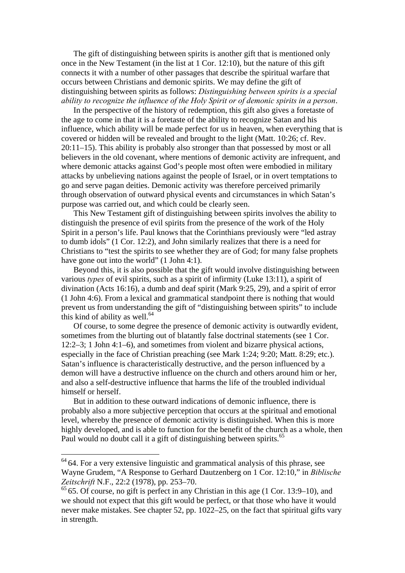The gift of distinguishing between spirits is another gift that is mentioned only once in the New Testament (in the list at 1 Cor. 12:10), but the nature of this gift connects it with a number of other passages that describe the spiritual warfare that occurs between Christians and demonic spirits. We may define the gift of distinguishing between spirits as follows: *Distinguishing between spirits is a special ability to recognize the influence of the Holy Spirit or of demonic spirits in a person*.

In the perspective of the history of redemption, this gift also gives a foretaste of the age to come in that it is a foretaste of the ability to recognize Satan and his influence, which ability will be made perfect for us in heaven, when everything that is covered or hidden will be revealed and brought to the light (Matt. 10:26; cf. Rev. 20:11–15). This ability is probably also stronger than that possessed by most or all believers in the old covenant, where mentions of demonic activity are infrequent, and where demonic attacks against God's people most often were embodied in military attacks by unbelieving nations against the people of Israel, or in overt temptations to go and serve pagan deities. Demonic activity was therefore perceived primarily through observation of outward physical events and circumstances in which Satan's purpose was carried out, and which could be clearly seen.

This New Testament gift of distinguishing between spirits involves the ability to distinguish the presence of evil spirits from the presence of the work of the Holy Spirit in a person's life. Paul knows that the Corinthians previously were "led astray to dumb idols" (1 Cor. 12:2), and John similarly realizes that there is a need for Christians to "test the spirits to see whether they are of God; for many false prophets have gone out into the world" (1 John 4:1).

Beyond this, it is also possible that the gift would involve distinguishing between various *types* of evil spirits, such as a spirit of infirmity (Luke 13:11), a spirit of divination (Acts 16:16), a dumb and deaf spirit (Mark 9:25, 29), and a spirit of error (1 John 4:6). From a lexical and grammatical standpoint there is nothing that would prevent us from understanding the gift of "distinguishing between spirits" to include this kind of ability as well. $64$ 

Of course, to some degree the presence of demonic activity is outwardly evident, sometimes from the blurting out of blatantly false doctrinal statements (see 1 Cor. 12:2–3; 1 John 4:1–6), and sometimes from violent and bizarre physical actions, especially in the face of Christian preaching (see Mark 1:24; 9:20; Matt. 8:29; etc.). Satan's influence is characteristically destructive, and the person influenced by a demon will have a destructive influence on the church and others around him or her, and also a self-destructive influence that harms the life of the troubled individual himself or herself.

But in addition to these outward indications of demonic influence, there is probably also a more subjective perception that occurs at the spiritual and emotional level, whereby the presence of demonic activity is distinguished. When this is more highly developed, and is able to function for the benefit of the church as a whole, then Paul would no doubt call it a gift of distinguishing between spirits.<sup>65</sup>

 $64$  64. For a very extensive linguistic and grammatical analysis of this phrase, see Wayne Grudem, "A Response to Gerhard Dautzenberg on 1 Cor. 12:10," in *Biblische Zeitschrift* N.F., 22:2 (1978), pp. 253–70.

 $65$  65. Of course, no gift is perfect in any Christian in this age (1 Cor. 13:9–10), and we should not expect that this gift would be perfect, or that those who have it would never make mistakes. See chapter 52, pp. 1022–25, on the fact that spiritual gifts vary in strength.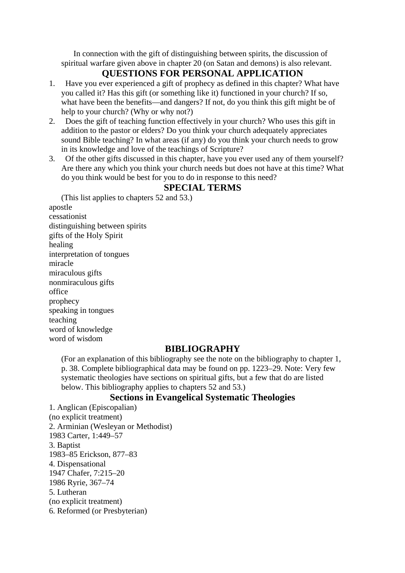In connection with the gift of distinguishing between spirits, the discussion of spiritual warfare given above in chapter 20 (on Satan and demons) is also relevant.

# **QUESTIONS FOR PERSONAL APPLICATION**

- 1. Have you ever experienced a gift of prophecy as defined in this chapter? What have you called it? Has this gift (or something like it) functioned in your church? If so, what have been the benefits—and dangers? If not, do you think this gift might be of help to your church? (Why or why not?)
- 2. Does the gift of teaching function effectively in your church? Who uses this gift in addition to the pastor or elders? Do you think your church adequately appreciates sound Bible teaching? In what areas (if any) do you think your church needs to grow in its knowledge and love of the teachings of Scripture?
- 3. Of the other gifts discussed in this chapter, have you ever used any of them yourself? Are there any which you think your church needs but does not have at this time? What do you think would be best for you to do in response to this need?

## **SPECIAL TERMS**

(This list applies to chapters 52 and 53.) apostle cessationist distinguishing between spirits gifts of the Holy Spirit healing interpretation of tongues miracle miraculous gifts nonmiraculous gifts office prophecy speaking in tongues teaching word of knowledge word of wisdom

## **BIBLIOGRAPHY**

(For an explanation of this bibliography see the note on the bibliography to chapter 1, p. 38. Complete bibliographical data may be found on pp. 1223–29. Note: Very few systematic theologies have sections on spiritual gifts, but a few that do are listed below. This bibliography applies to chapters 52 and 53.)

# **Sections in Evangelical Systematic Theologies**

1. Anglican (Episcopalian) (no explicit treatment) 2. Arminian (Wesleyan or Methodist) 1983 Carter, 1:449–57 3. Baptist 1983–85 Erickson, 877–83 4. Dispensational 1947 Chafer, 7:215–20 1986 Ryrie, 367–74 5. Lutheran (no explicit treatment) 6. Reformed (or Presbyterian)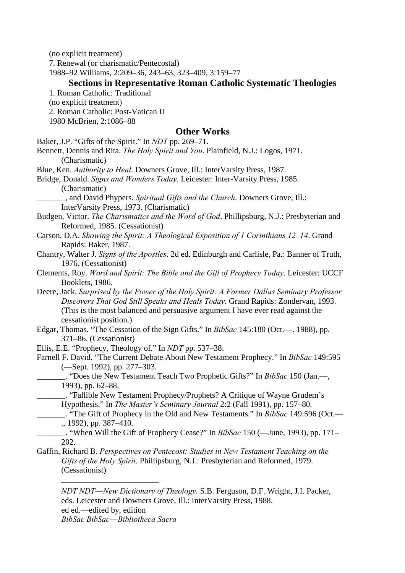(no explicit treatment)

7. Renewal (or charismatic/Pentecostal)

1988–92 Williams, 2:209–36, 243–63, 323–409, 3:159–77

# **Sections in Representative Roman Catholic Systematic Theologies**

1. Roman Catholic: Traditional

(no explicit treatment)

2. Roman Catholic: Post-Vatican II

1980 McBrien, 2:1086–88

# **Other Works**

Baker, J.P. "Gifts of the Spirit." In *NDT* pp. 269–71.

Bennett, Dennis and Rita. *The Holy Spirit and You*. Plainfield, N.J.: Logos, 1971. (Charismatic)

Blue, Ken. *Authority to Heal*. Downers Grove, Ill.: InterVarsity Press, 1987.

Bridge, Donald. *Signs and Wonders Today*. Leicester: Inter-Varsity Press, 1985. (Charismatic)

\_\_\_\_\_\_\_, and David Phypers. *Spiritual Gifts and the Church*. Downers Grove, Ill.: InterVarsity Press, 1973. (Charismatic)

- Budgen, Victor. *The Charismatics and the Word of God*. Phillipsburg, N.J.: Presbyterian and Reformed, 1985. (Cessationist)
- Carson, D.A. *Showing the Spirit: A Theological Exposition of 1 Corinthians 12–14*. Grand Rapids: Baker, 1987.
- Chantry, Walter J. *Signs of the Apostles*. 2d ed. Edinburgh and Carlisle, Pa.: Banner of Truth, 1976. (Cessationist)
- Clements, Roy. *Word and Spirit: The Bible and the Gift of Prophecy Today*. Leicester: UCCF Booklets, 1986.

Deere, Jack. *Surprised by the Power of the Holy Spirit: A Former Dallas Seminary Professor Discovers That God Still Speaks and Heals Today*. Grand Rapids: Zondervan, 1993. (This is the most balanced and persuasive argument I have ever read against the cessationist position.)

Edgar, Thomas. "The Cessation of the Sign Gifts." In *BibSac* 145:180 (Oct.—. 1988), pp. 371–86. (Cessationist)

Ellis, E.E. "Prophecy, Theology of." In *NDT* pp. 537–38.

Farnell F. David. "The Current Debate About New Testament Prophecy." In *BibSac* 149:595 (—Sept. 1992), pp. 277–303.

\_\_\_\_\_\_\_. "Does the New Testament Teach Two Prophetic Gifts?" In *BibSac* 150 (Jan.—, 1993), pp. 62–88.

\_\_\_\_\_\_\_. "Fallible New Testament Prophecy/Prophets? A Critique of Wayne Grudem's Hypothesis." In *The Master's Seminary Journal* 2:2 (Fall 1991), pp. 157–80.

\_\_\_\_\_\_\_. "The Gift of Prophecy in the Old and New Testaments." In *BibSac* 149:596 (Oct.— ., 1992), pp. 387–410.

\_\_\_\_\_\_\_. "When Will the Gift of Prophecy Cease?" In *BibSac* 150 (—June, 1993), pp. 171– 202.

Gaffin, Richard B. *Perspectives on Pentecost: Studies in New Testament Teaching on the Gifts of the Holy Spirit*. Phillipsburg, N.J.: Presbyterian and Reformed, 1979. (Cessationist)

*NDT NDT*—*New Dictionary of Theology.* S.B. Ferguson, D.F. Wright, J.I. Packer, eds. Leicester and Downers Grove, Ill.: InterVarsity Press, 1988. ed ed.—edited by, edition

*BibSac BibSac*—*Bibliotheca Sacra*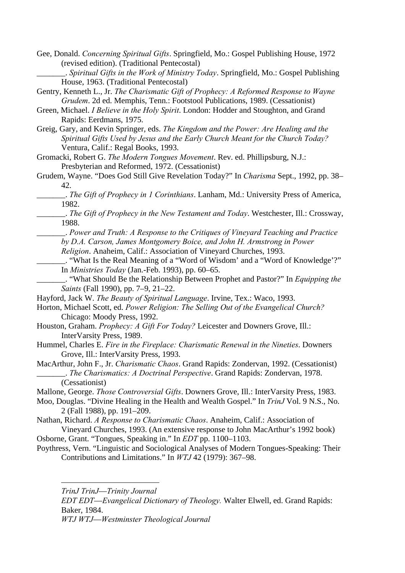- Gee, Donald. *Concerning Spiritual Gifts*. Springfield, Mo.: Gospel Publishing House, 1972 (revised edition). (Traditional Pentecostal)
- \_\_\_\_\_\_\_. *Spiritual Gifts in the Work of Ministry Today*. Springfield, Mo.: Gospel Publishing House, 1963. (Traditional Pentecostal)
- Gentry, Kenneth L., Jr. *The Charismatic Gift of Prophecy: A Reformed Response to Wayne Grudem*. 2d ed. Memphis, Tenn.: Footstool Publications, 1989. (Cessationist)
- Green, Michael. *I Believe in the Holy Spirit*. London: Hodder and Stoughton, and Grand Rapids: Eerdmans, 1975.
- Greig, Gary, and Kevin Springer, eds. *The Kingdom and the Power: Are Healing and the Spiritual Gifts Used by Jesus and the Early Church Meant for the Church Today?* Ventura, Calif.: Regal Books, 1993.
- Gromacki, Robert G. *The Modern Tongues Movement*. Rev. ed. Phillipsburg, N.J.: Presbyterian and Reformed, 1972. (Cessationist)
- Grudem, Wayne. "Does God Still Give Revelation Today?" In *Charisma* Sept., 1992, pp. 38– 42.

\_\_\_\_\_\_\_. *The Gift of Prophecy in 1 Corinthians*. Lanham, Md.: University Press of America, 1982.

- \_\_\_\_\_\_\_. *The Gift of Prophecy in the New Testament and Today*. Westchester, Ill.: Crossway, 1988.
	- \_\_\_\_\_\_\_. *Power and Truth: A Response to the Critiques of Vineyard Teaching and Practice by D.A. Carson, James Montgomery Boice, and John H. Armstrong in Power*

*Religion*. Anaheim, Calif.: Association of Vineyard Churches, 1993.

- \_\_\_\_\_\_\_. "What Is the Real Meaning of a "Word of Wisdom' and a "Word of Knowledge'?" In *Ministries Today* (Jan.-Feb. 1993), pp. 60–65.
- \_\_\_\_\_\_\_. "What Should Be the Relationship Between Prophet and Pastor?" In *Equipping the Saints* (Fall 1990), pp. 7–9, 21–22.
- Hayford, Jack W. *The Beauty of Spiritual Language*. Irvine, Tex.: Waco, 1993.
- Horton, Michael Scott, ed. *Power Religion: The Selling Out of the Evangelical Church?* Chicago: Moody Press, 1992.
- Houston, Graham. *Prophecy: A Gift For Today?* Leicester and Downers Grove, Ill.: InterVarsity Press, 1989.
- Hummel, Charles E. *Fire in the Fireplace: Charismatic Renewal in the Nineties*. Downers Grove, Ill.: InterVarsity Press, 1993.
- MacArthur, John F., Jr. *Charismatic Chaos*. Grand Rapids: Zondervan, 1992. (Cessationist) \_\_\_\_\_\_\_. *The Charismatics: A Doctrinal Perspective*. Grand Rapids: Zondervan, 1978. (Cessationist)
- Mallone, George. *Those Controversial Gifts*. Downers Grove, Ill.: InterVarsity Press, 1983.
- Moo, Douglas. "Divine Healing in the Health and Wealth Gospel." In *TrinJ* Vol. 9 N.S., No. 2 (Fall 1988), pp. 191–209.
- Nathan, Richard. *A Response to Charismatic Chaos*. Anaheim, Calif.: Association of Vineyard Churches, 1993. (An extensive response to John MacArthur's 1992 book)
- Osborne, Grant. "Tongues, Speaking in." In *EDT* pp. 1100–1103.
- Poythress, Vern. "Linguistic and Sociological Analyses of Modern Tongues-Speaking: Their Contributions and Limitations." In *WTJ* 42 (1979): 367–98.

*TrinJ TrinJ*—*Trinity Journal*

*EDT EDT*—*Evangelical Dictionary of Theology.* Walter Elwell, ed. Grand Rapids: Baker, 1984.

*WTJ WTJ*—*Westminster Theological Journal*